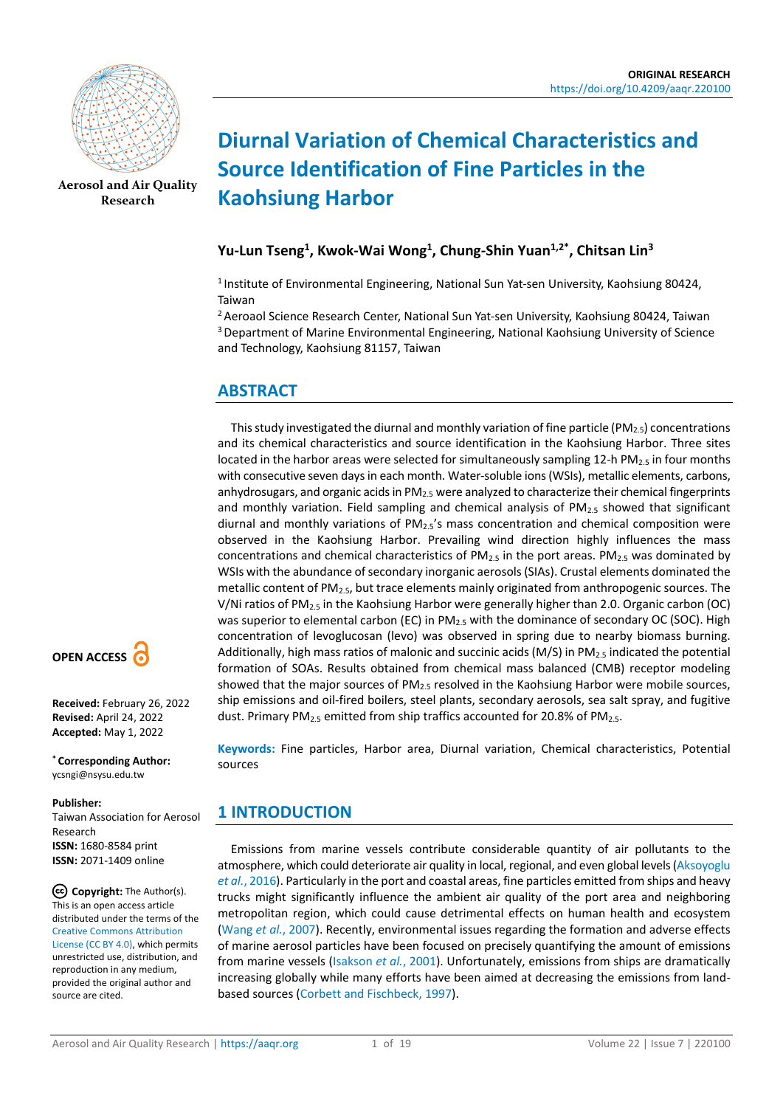

**[Aerosol and Air Quality](https://aaqr.org/)  [Research](https://aaqr.org/)**

# **Diurnal Variation of Chemical Characteristics and Source Identification of Fine Particles in the Kaohsiung Harbor**

# **Yu-Lun Tseng1 , Kwok-Wai Wong1, Chung-Shin Yuan1,2\*, Chitsan Lin3**

<sup>1</sup> Institute of Environmental Engineering, National Sun Yat-sen University, Kaohsiung 80424, Taiwan

<sup>2</sup> Aeroaol Science Research Center, National Sun Yat-sen University, Kaohsiung 80424, Taiwan 3 Department of Marine Environmental Engineering, National Kaohsiung University of Science and Technology, Kaohsiung 81157, Taiwan

# **ABSTRACT**

This study investigated the diurnal and monthly variation of fine particle (PM<sub>2.5</sub>) concentrations and its chemical characteristics and source identification in the Kaohsiung Harbor. Three sites located in the harbor areas were selected for simultaneously sampling 12-h  $PM_{2.5}$  in four months with consecutive seven days in each month. Water-soluble ions (WSIs), metallic elements, carbons, anhydrosugars, and organic acids in PM<sub>2.5</sub> were analyzed to characterize their chemical fingerprints and monthly variation. Field sampling and chemical analysis of PM<sub>2.5</sub> showed that significant diurnal and monthly variations of  $PM_{2.5}$ 's mass concentration and chemical composition were observed in the Kaohsiung Harbor. Prevailing wind direction highly influences the mass concentrations and chemical characteristics of  $PM_{2.5}$  in the port areas. PM<sub>2.5</sub> was dominated by WSIs with the abundance of secondary inorganic aerosols (SIAs). Crustal elements dominated the metallic content of PM2.5, but trace elements mainly originated from anthropogenic sources. The V/Ni ratios of PM2.5 in the Kaohsiung Harbor were generally higher than 2.0. Organic carbon (OC) was superior to elemental carbon (EC) in PM<sub>2.5</sub> with the dominance of secondary OC (SOC). High concentration of levoglucosan (levo) was observed in spring due to nearby biomass burning. Additionally, high mass ratios of malonic and succinic acids (M/S) in PM<sub>2.5</sub> indicated the potential formation of SOAs. Results obtained from chemical mass balanced (CMB) receptor modeling showed that the major sources of  $PM_{2.5}$  resolved in the Kaohsiung Harbor were mobile sources, ship emissions and oil-fired boilers, steel plants, secondary aerosols, sea salt spray, and fugitive dust. Primary PM<sub>2.5</sub> emitted from ship traffics accounted for 20.8% of PM<sub>2.5</sub>.

**Keywords:** Fine particles, Harbor area, Diurnal variation, Chemical characteristics, Potential sources

# **1 INTRODUCTION**

Emissions from marine vessels contribute considerable quantity of air pollutants to the atmosphere, which could deteriorate air quality in local, regional, and even global levels [\(Aksoyoglu](#page-15-0)  *et al.*[, 2016\)](#page-15-0). Particularly in the port and coastal areas, fine particles emitted from ships and heavy trucks might significantly influence the ambient air quality of the port area and neighboring metropolitan region, which could cause detrimental effects on human health and ecosystem [\(Wang](#page-17-0) *et al.*, 2007). Recently, environmental issues regarding the formation and adverse effects of marine aerosol particles have been focused on precisely quantifying the amount of emissions from marine vessels [\(Isakson](#page-15-1) *et al.*, 2001). Unfortunately, emissions from ships are dramatically increasing globally while many efforts have been aimed at decreasing the emissions from landbased sources [\(Corbett and Fischbeck, 1997\)](#page-15-2).



**Received:** February 26, 2022 **Revised:** April 24, 2022 **Accepted:** May 1, 2022

**\* Corresponding Author:** ycsngi@nsysu.edu.tw

#### **Publisher:**

Taiwan Association for Aerosol Research **ISSN:** 1680-8584 print **ISSN:** 2071-1409 online

**Copyright:** The Author(s). This is an open access article distributed under the terms of the [Creative Commons Attribution](https://creativecommons.org/licenses/by/4.0/)  [License \(CC BY 4.0\),](https://creativecommons.org/licenses/by/4.0/) which permits unrestricted use, distribution, and reproduction in any medium, provided the original author and source are cited.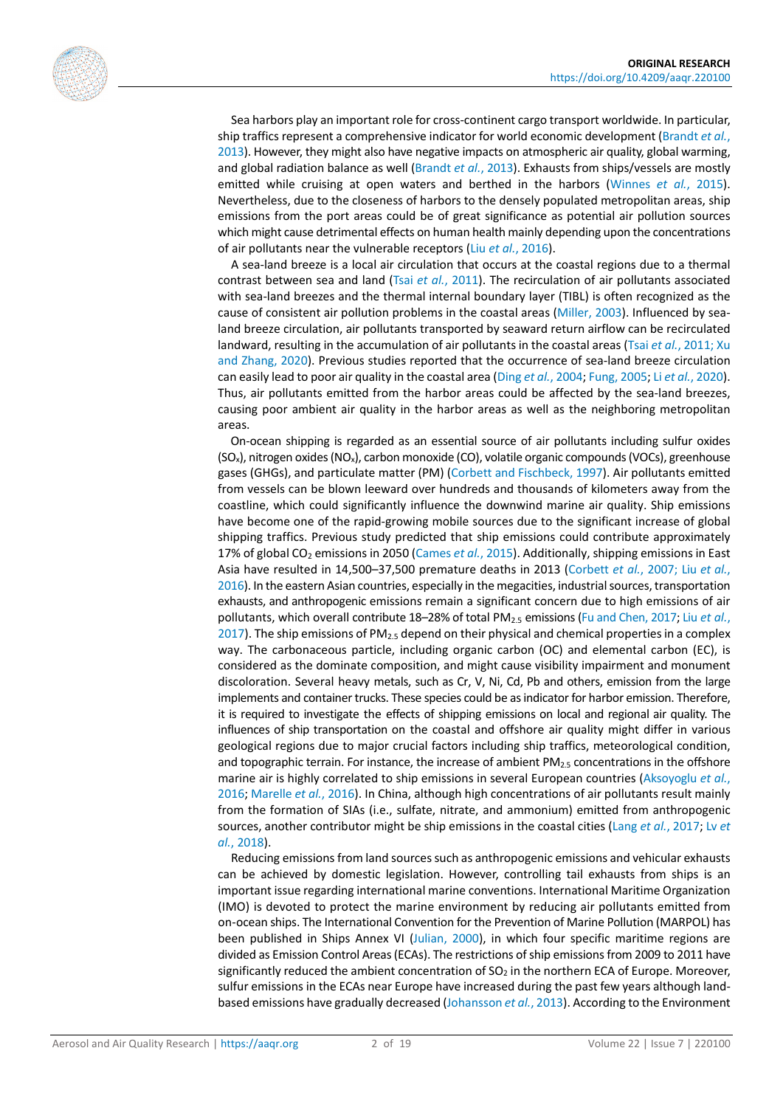

Sea harbors play an important role for cross-continent cargo transport worldwide. In particular, ship traffics represent a comprehensive indicator for world economic development [\(Brandt](#page-15-3) *et al.*, [2013\)](#page-15-3). However, they might also have negative impacts on atmospheric air quality, global warming, and global radiation balance as well [\(Brandt](#page-15-3) *et al.*, 2013). Exhausts from ships/vessels are mostly emitted while cruising at open waters and berthed in the harbors [\(Winnes](#page-17-1) *et al.*, 2015). Nevertheless, due to the closeness of harbors to the densely populated metropolitan areas, ship emissions from the port areas could be of great significance as potential air pollution sources which might cause detrimental effects on human health mainly depending upon the concentrations of air pollutants near the vulnerable receptors (Liu *et al.*[, 2016\)](#page-16-0).

A sea-land breeze is a local air circulation that occurs at the coastal regions due to a thermal contrast between sea and land (Tsai *et al.*[, 2011\)](#page-17-2). The recirculation of air pollutants associated with sea-land breezes and the thermal internal boundary layer (TIBL) is often recognized as the cause of consistent air pollution problems in the coastal areas [\(Miller, 2003\)](#page-16-1). Influenced by sealand breeze circulation, air pollutants transported by seaward return airflow can be recirculated landward, resulting in the accumulation of air pollutants in the coastal areas (Tsai *et al.*[, 2011;](#page-17-2) [Xu](#page-17-3)  [and Zhang, 2020\)](#page-17-3). Previous studies reported that the occurrence of sea-land breeze circulation can easily lead to poor air quality in the coastal area (Ding *et al.*[, 2004;](#page-15-4) [Fung, 2005;](#page-15-5) Li *et al.*[, 2020\)](#page-16-2). Thus, air pollutants emitted from the harbor areas could be affected by the sea-land breezes, causing poor ambient air quality in the harbor areas as well as the neighboring metropolitan areas.

On-ocean shipping is regarded as an essential source of air pollutants including sulfur oxides (SOx), nitrogen oxides (NOx), carbon monoxide (CO), volatile organic compounds (VOCs), greenhouse gases (GHGs), and particulate matter (PM) [\(Corbett and Fischbeck, 1997\)](#page-15-2). Air pollutants emitted from vessels can be blown leeward over hundreds and thousands of kilometers away from the coastline, which could significantly influence the downwind marine air quality. Ship emissions have become one of the rapid-growing mobile sources due to the significant increase of global shipping traffics. Previous study predicted that ship emissions could contribute approximately 17% of global CO2 emissions in 2050 [\(Cames](#page-15-6) *et al.*, 2015). Additionally, shipping emissions in East Asia have resulted in 14,500–37,500 premature deaths in 2013 [\(Corbett](#page-15-7) *et al.*, 2007; Liu *[et al.](#page-16-0)*, [2016\)](#page-16-0). In the eastern Asian countries, especially in the megacities, industrial sources, transportation exhausts, and anthropogenic emissions remain a significant concern due to high emissions of air pollutants, which overall contribute 18–28% of total PM2.5 emissions (Fu and [Chen, 2017;](#page-15-8) Liu *[et al.](#page-16-3)*, [2017\)](#page-16-3). The ship emissions of PM $_{2.5}$  depend on their physical and chemical properties in a complex way. The carbonaceous particle, including organic carbon (OC) and elemental carbon (EC), is considered as the dominate composition, and might cause visibility impairment and monument discoloration. Several heavy metals, such as Cr, V, Ni, Cd, Pb and others, emission from the large implements and container trucks. These species could be as indicator for harbor emission. Therefore, it is required to investigate the effects of shipping emissions on local and regional air quality. The influences of ship transportation on the coastal and offshore air quality might differ in various geological regions due to major crucial factors including ship traffics, meteorological condition, and topographic terrain. For instance, the increase of ambient  $PM_{2.5}$  concentrations in the offshore marine air is highly correlated to ship emissions in several European countries [\(Aksoyoglu](#page-15-0) *et al.*, [2016;](#page-15-0) [Marelle](#page-16-4) *et al.*, 2016). In China, although high concentrations of air pollutants result mainly from the formation of SIAs (i.e., sulfate, nitrate, and ammonium) emitted from anthropogenic sources, another contributor might be ship emissions in the coastal cities (Lang *et al.*[, 2017;](#page-16-5) [Lv](#page-16-6) *et al.*[, 2018\)](#page-16-6).

Reducing emissions from land sources such as anthropogenic emissions and vehicular exhausts can be achieved by domestic legislation. However, controlling tail exhausts from ships is an important issue regarding international marine conventions. International Maritime Organization (IMO) is devoted to protect the marine environment by reducing air pollutants emitted from on-ocean ships. The International Convention for the Prevention of Marine Pollution (MARPOL) has been published in Ships Annex VI [\(Julian, 2000\)](#page-16-7), in which four specific maritime regions are divided as Emission Control Areas (ECAs). The restrictions of ship emissions from 2009 to 2011 have significantly reduced the ambient concentration of  $SO<sub>2</sub>$  in the northern ECA of Europe. Moreover, sulfur emissions in the ECAs near Europe have increased during the past few years although landbased emissions have gradually decreased [\(Johansson](#page-16-8) *et al.*, 2013). According to the Environment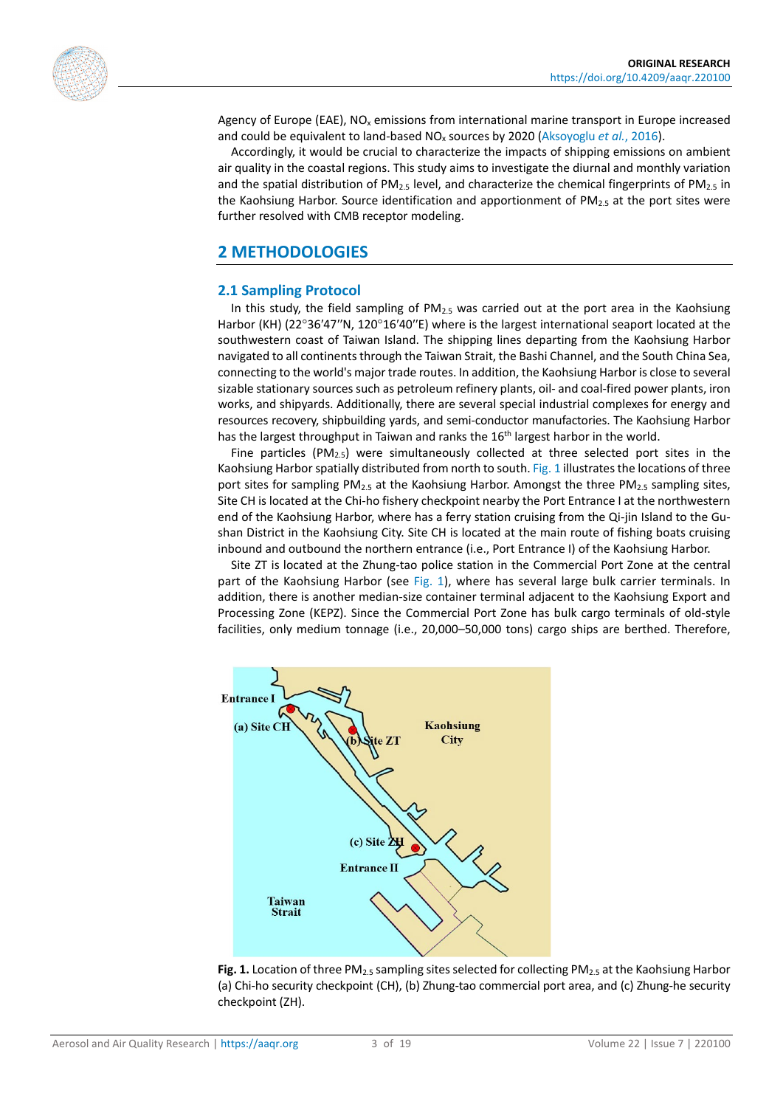

Agency of Europe (EAE),  $NO<sub>x</sub>$  emissions from international marine transport in Europe increased and could be equivalent to land-based NO<sub>x</sub> sources by 2020 [\(Aksoyoglu](#page-15-0) *et al.*, 2016).

Accordingly, it would be crucial to characterize the impacts of shipping emissions on ambient air quality in the coastal regions. This study aims to investigate the diurnal and monthly variation and the spatial distribution of  $PM_{2.5}$  level, and characterize the chemical fingerprints of  $PM_{2.5}$  in the Kaohsiung Harbor. Source identification and apportionment of  $PM_{2.5}$  at the port sites were further resolved with CMB receptor modeling.

# **2 METHODOLOGIES**

### **2.1 Sampling Protocol**

In this study, the field sampling of  $PM_{2.5}$  was carried out at the port area in the Kaohsiung Harbor (KH) (22°36'47"N, 120°16'40"E) where is the largest international seaport located at the southwestern coast of Taiwan Island. The shipping lines departing from the Kaohsiung Harbor navigated to all continents through the Taiwan Strait, the Bashi Channel, and the South China Sea, connecting to the world's major trade routes. In addition, the Kaohsiung Harbor is close to several sizable stationary sources such as petroleum refinery plants, oil- and coal-fired power plants, iron works, and shipyards. Additionally, there are several special industrial complexes for energy and resources recovery, shipbuilding yards, and semi-conductor manufactories. The Kaohsiung Harbor has the largest throughput in Taiwan and ranks the 16<sup>th</sup> largest harbor in the world.

Fine particles ( $PM_{2.5}$ ) were simultaneously collected at three selected port sites in the Kaohsiung Harbor spatially distributed from north to south[. Fig.](#page-2-0) 1 illustrates the locations of three port sites for sampling PM<sub>2.5</sub> at the Kaohsiung Harbor. Amongst the three PM<sub>2.5</sub> sampling sites, Site CH is located at the Chi-ho fishery checkpoint nearby the Port Entrance I at the northwestern end of the Kaohsiung Harbor, where has a ferry station cruising from the Qi-jin Island to the Gushan District in the Kaohsiung City. Site CH is located at the main route of fishing boats cruising inbound and outbound the northern entrance (i.e., Port Entrance I) of the Kaohsiung Harbor.

Site ZT is located at the Zhung-tao police station in the Commercial Port Zone at the central part of the Kaohsiung Harbor (see [Fig.](#page-2-0) 1), where has several large bulk carrier terminals. In addition, there is another median-size container terminal adjacent to the Kaohsiung Export and Processing Zone (KEPZ). Since the Commercial Port Zone has bulk cargo terminals of old-style facilities, only medium tonnage (i.e., 20,000–50,000 tons) cargo ships are berthed. Therefore,

<span id="page-2-0"></span>

**Fig. 1.** Location of three PM<sub>2.5</sub> sampling sites selected for collecting PM<sub>2.5</sub> at the Kaohsiung Harbor (a) Chi-ho security checkpoint (CH), (b) Zhung-tao commercial port area, and (c) Zhung-he security checkpoint (ZH).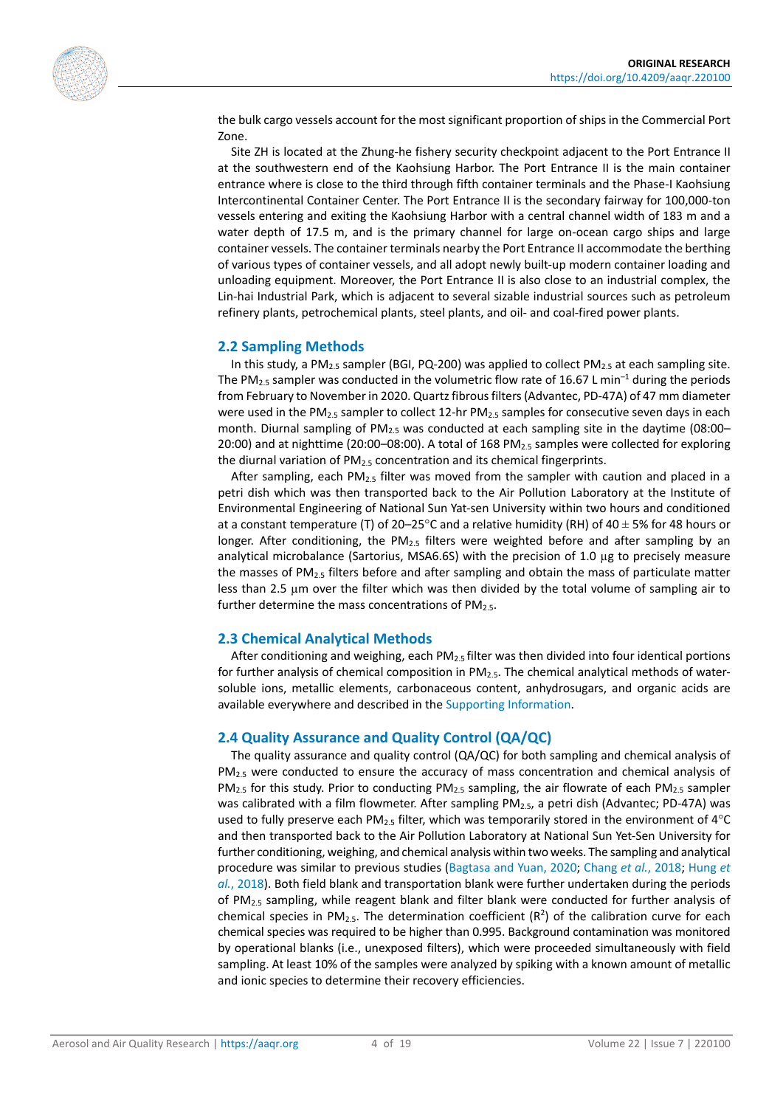

the bulk cargo vessels account for the most significant proportion of ships in the Commercial Port Zone.

Site ZH is located at the Zhung-he fishery security checkpoint adjacent to the Port Entrance II at the southwestern end of the Kaohsiung Harbor. The Port Entrance II is the main container entrance where is close to the third through fifth container terminals and the Phase-I Kaohsiung Intercontinental Container Center. The Port Entrance II is the secondary fairway for 100,000-ton vessels entering and exiting the Kaohsiung Harbor with a central channel width of 183 m and a water depth of 17.5 m, and is the primary channel for large on-ocean cargo ships and large container vessels. The container terminals nearby the Port Entrance II accommodate the berthing of various types of container vessels, and all adopt newly built-up modern container loading and unloading equipment. Moreover, the Port Entrance II is also close to an industrial complex, the Lin-hai Industrial Park, which is adjacent to several sizable industrial sources such as petroleum refinery plants, petrochemical plants, steel plants, and oil- and coal-fired power plants.

#### **2.2 Sampling Methods**

In this study, a PM<sub>2.5</sub> sampler (BGI, PQ-200) was applied to collect PM<sub>2.5</sub> at each sampling site. The PM<sub>2.5</sub> sampler was conducted in the volumetric flow rate of 16.67 L min<sup>-1</sup> during the periods from February to November in 2020. Quartz fibrous filters (Advantec, PD-47A) of 47 mm diameter were used in the PM<sub>2.5</sub> sampler to collect 12-hr PM<sub>2.5</sub> samples for consecutive seven days in each month. Diurnal sampling of PM<sub>2.5</sub> was conducted at each sampling site in the daytime (08:00– 20:00) and at nighttime (20:00-08:00). A total of 168 PM<sub>2.5</sub> samples were collected for exploring the diurnal variation of PM2.5 concentration and its chemical fingerprints.

After sampling, each  $PM_{2.5}$  filter was moved from the sampler with caution and placed in a petri dish which was then transported back to the Air Pollution Laboratory at the Institute of Environmental Engineering of National Sun Yat-sen University within two hours and conditioned at a constant temperature (T) of 20–25°C and a relative humidity (RH) of 40  $\pm$  5% for 48 hours or longer. After conditioning, the PM<sub>2.5</sub> filters were weighted before and after sampling by an analytical microbalance (Sartorius, MSA6.6S) with the precision of 1.0  $\mu$ g to precisely measure the masses of  $PM_{2.5}$  filters before and after sampling and obtain the mass of particulate matter less than 2.5 µm over the filter which was then divided by the total volume of sampling air to further determine the mass concentrations of PM<sub>2.5</sub>.

### **2.3 Chemical Analytical Methods**

After conditioning and weighing, each  $PM_2$ , filter was then divided into four identical portions for further analysis of chemical composition in PM<sub>2.5</sub>. The chemical analytical methods of watersoluble ions, metallic elements, carbonaceous content, anhydrosugars, and organic acids are available everywhere and described in the [Supporting Information.](#page-14-0)

### **2.4 Quality Assurance and Quality Control (QA/QC)**

The quality assurance and quality control (QA/QC) for both sampling and chemical analysis of PM<sub>2.5</sub> were conducted to ensure the accuracy of mass concentration and chemical analysis of  $PM_{2.5}$  for this study. Prior to conducting PM<sub>2.5</sub> sampling, the air flowrate of each PM<sub>2.5</sub> sampler was calibrated with a film flowmeter. After sampling  $PM_{2.5}$ , a petri dish (Advantec; PD-47A) was used to fully preserve each PM<sub>2.5</sub> filter, which was temporarily stored in the environment of  $4^{\circ}C$ and then transported back to the Air Pollution Laboratory at National Sun Yet-Sen University for further conditioning, weighing, and chemical analysis within two weeks. The sampling and analytical procedure was similar to previous studies [\(Bagtasa and](#page-15-9) Yuan, 2020; [Chang](#page-15-10) *et al.*, 2018; [Hung](#page-15-11) *et al.*[, 2018\)](#page-15-11). Both field blank and transportation blank were further undertaken during the periods of PM2.5 sampling, while reagent blank and filter blank were conducted for further analysis of chemical species in PM<sub>2.5</sub>. The determination coefficient  $(R^2)$  of the calibration curve for each chemical species was required to be higher than 0.995. Background contamination was monitored by operational blanks (i.e., unexposed filters), which were proceeded simultaneously with field sampling. At least 10% of the samples were analyzed by spiking with a known amount of metallic and ionic species to determine their recovery efficiencies.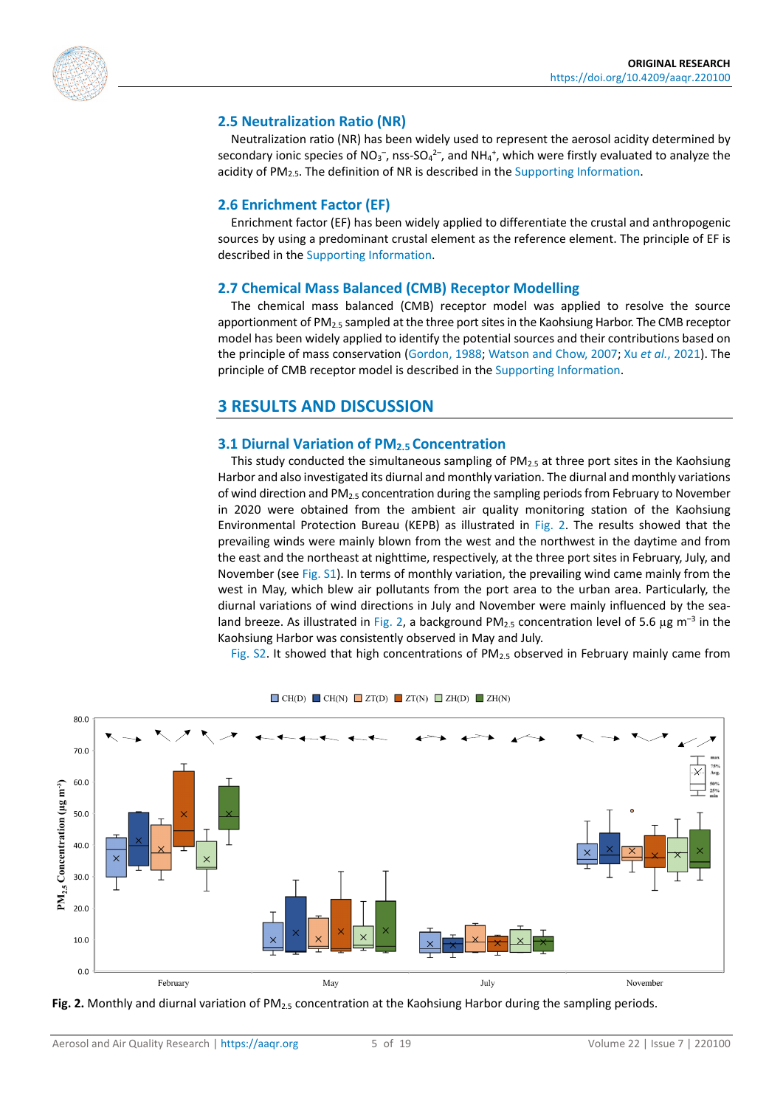

# **2.5 Neutralization Ratio (NR)**

Neutralization ratio (NR) has been widely used to represent the aerosol acidity determined by secondary ionic species of NO<sub>3</sub><sup>-</sup>, nss-SO<sub>4</sub><sup>2-</sup>, and NH<sub>4</sub><sup>+</sup>, which were firstly evaluated to analyze the acidity of  $PM<sub>2.5</sub>$ . The definition of NR is described in th[e Supporting Information.](#page-14-0)

#### **2.6 Enrichment Factor (EF)**

Enrichment factor (EF) has been widely applied to differentiate the crustal and anthropogenic sources by using a predominant crustal element as the reference element. The principle of EF is described in th[e Supporting Information.](#page-14-0)

#### **2.7 Chemical Mass Balanced (CMB) Receptor Modelling**

The chemical mass balanced (CMB) receptor model was applied to resolve the source apportionment of PM2.5 sampled at the three port sites in the Kaohsiung Harbor. The CMB receptor model has been widely applied to identify the potential sources and their contributions based on the principle of mass conservation [\(Gordon, 1988;](#page-15-12) [Watson and](#page-17-4) Chow, 2007; Xu *et al.*[, 2021\)](#page-17-5). The principle of CMB receptor model is described in the [Supporting Information.](#page-14-0)

# **3 RESULTS AND DISCUSSION**

#### **3.1 Diurnal Variation of PM2.5 Concentration**

This study conducted the simultaneous sampling of  $PM_{2.5}$  at three port sites in the Kaohsiung Harbor and also investigated its diurnal and monthly variation. The diurnal and monthly variations of wind direction and PM2.5 concentration during the sampling periods from February to November in 2020 were obtained from the ambient air quality monitoring station of the Kaohsiung Environmental Protection Bureau (KEPB) as illustrated in [Fig.](#page-4-0) 2. The results showed that the prevailing winds were mainly blown from the west and the northwest in the daytime and from the east and the northeast at nighttime, respectively, at the three port sites in February, July, and November (see [Fig.](https://doi.org/10.4209/aaqr.220100) S1). In terms of monthly variation, the prevailing wind came mainly from the west in May, which blew air pollutants from the port area to the urban area. Particularly, the diurnal variations of wind directions in July and November were mainly influenced by the sea-land breeze. As illustrated in [Fig.](#page-4-0) 2, a background PM<sub>2.5</sub> concentration level of 5.6  $\mu$ g m<sup>-3</sup> in the Kaohsiung Harbor was consistently observed in May and July.

[Fig.](https://doi.org/10.4209/aaqr.220100) S2. It showed that high concentrations of  $PM_{2.5}$  observed in February mainly came from

<span id="page-4-0"></span>

 $\Box$  CH(D)  $\Box$  CH(N)  $\Box$  ZT(D)  $\Box$  ZT(N)  $\Box$  ZH(D)  $\Box$  ZH(N)

**Fig. 2.** Monthly and diurnal variation of PM2.5 concentration at the Kaohsiung Harbor during the sampling periods.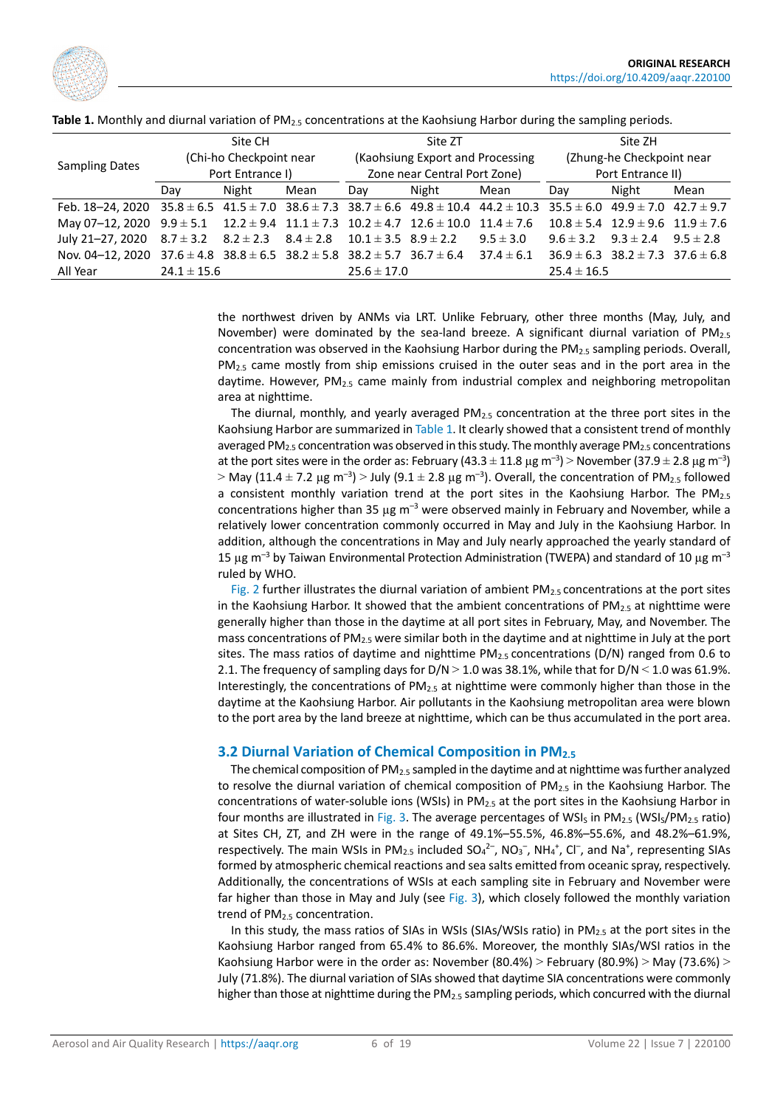

| <b>Sampling Dates</b>                                                                                                                                     | Site CH<br>(Chi-ho Checkpoint near<br>Port Entrance I) |       |      | Site ZT<br>(Kaohsiung Export and Processing<br>Zone near Central Port Zone) |       |               | Site ZH<br>(Zhung-he Checkpoint near<br>Port Entrance II) |                                              |      |
|-----------------------------------------------------------------------------------------------------------------------------------------------------------|--------------------------------------------------------|-------|------|-----------------------------------------------------------------------------|-------|---------------|-----------------------------------------------------------|----------------------------------------------|------|
|                                                                                                                                                           | Day                                                    | Night | Mean | Day                                                                         | Night | Mean          | Day                                                       | Night                                        | Mean |
| Feb. 18-24, 2020 35.8 $\pm$ 6.5 41.5 $\pm$ 7.0 38.6 $\pm$ 7.3 38.7 $\pm$ 6.6 49.8 $\pm$ 10.4 44.2 $\pm$ 10.3 35.5 $\pm$ 6.0 49.9 $\pm$ 7.0 42.7 $\pm$ 9.7 |                                                        |       |      |                                                                             |       |               |                                                           |                                              |      |
| May 07-12, 2020 $9.9 \pm 5.1$ $12.2 \pm 9.4$ $11.1 \pm 7.3$ $10.2 \pm 4.7$ $12.6 \pm 10.0$ $11.4 \pm 7.6$ $10.8 \pm 5.4$ $12.9 \pm 9.6$ $11.9 \pm 7.6$    |                                                        |       |      |                                                                             |       |               |                                                           |                                              |      |
| July 21-27, 2020 $8.7 \pm 3.2$ $8.2 \pm 2.3$ $8.4 \pm 2.8$ $10.1 \pm 3.5$ $8.9 \pm 2.2$                                                                   |                                                        |       |      |                                                                             |       | $9.5 \pm 3.0$ |                                                           | $9.6 \pm 3.2$ $9.3 \pm 2.4$ $9.5 \pm 2.8$    |      |
| Nov. 04-12, 2020 37.6 ± 4.8 38.8 ± 6.5 38.2 ± 5.8 38.2 ± 5.7 36.7 ± 6.4 37.4 ± 6.1                                                                        |                                                        |       |      |                                                                             |       |               |                                                           | $36.9 \pm 6.3$ $38.2 \pm 7.3$ $37.6 \pm 6.8$ |      |
| All Year                                                                                                                                                  | $24.1 \pm 15.6$                                        |       |      | $25.6 \pm 17.0$                                                             |       |               | $25.4 \pm 16.5$                                           |                                              |      |

<span id="page-5-0"></span>Table 1. Monthly and diurnal variation of PM<sub>2.5</sub> concentrations at the Kaohsiung Harbor during the sampling periods.

the northwest driven by ANMs via LRT. Unlike February, other three months (May, July, and November) were dominated by the sea-land breeze. A significant diurnal variation of PM<sub>2.5</sub> concentration was observed in the Kaohsiung Harbor during the PM2.5 sampling periods. Overall,  $PM<sub>2.5</sub>$  came mostly from ship emissions cruised in the outer seas and in the port area in the daytime. However,  $PM<sub>2.5</sub>$  came mainly from industrial complex and neighboring metropolitan area at nighttime.

The diurnal, monthly, and yearly averaged  $PM<sub>2.5</sub>$  concentration at the three port sites in the Kaohsiung Harbor are summarized i[n Table 1.](#page-5-0) It clearly showed that a consistent trend of monthly averaged PM<sub>2.5</sub> concentration was observed in this study. The monthly average PM<sub>2.5</sub> concentrations at the port sites were in the order as: February (43.3  $\pm$  11.8 µg m<sup>-3</sup>) > November (37.9  $\pm$  2.8 µg m<sup>-3</sup>)  $>$  May (11.4  $\pm$  7.2 µg m<sup>-3</sup>)  $>$  July (9.1  $\pm$  2.8 µg m<sup>-3</sup>). Overall, the concentration of PM<sub>2.5</sub> followed a consistent monthly variation trend at the port sites in the Kaohsiung Harbor. The  $PM_{2.5}$ concentrations higher than 35  $\mu$ g m<sup>-3</sup> were observed mainly in February and November, while a relatively lower concentration commonly occurred in May and July in the Kaohsiung Harbor. In addition, although the concentrations in May and July nearly approached the yearly standard of 15 µg m<sup>-3</sup> by Taiwan Environmental Protection Administration (TWEPA) and standard of 10 µg m<sup>-3</sup> ruled by WHO.

[Fig.](#page-4-0) 2 further illustrates the diurnal variation of ambient  $PM_{2.5}$  concentrations at the port sites in the Kaohsiung Harbor. It showed that the ambient concentrations of  $PM_{2.5}$  at nighttime were generally higher than those in the daytime at all port sites in February, May, and November. The mass concentrations of PM<sub>2.5</sub> were similar both in the daytime and at nighttime in July at the port sites. The mass ratios of daytime and nighttime  $PM_{2.5}$  concentrations (D/N) ranged from 0.6 to 2.1. The frequency of sampling days for  $D/N > 1.0$  was 38.1%, while that for  $D/N \le 1.0$  was 61.9%. Interestingly, the concentrations of  $PM_{2.5}$  at nighttime were commonly higher than those in the daytime at the Kaohsiung Harbor. Air pollutants in the Kaohsiung metropolitan area were blown to the port area by the land breeze at nighttime, which can be thus accumulated in the port area.

### **3.2 Diurnal Variation of Chemical Composition in PM2.5**

The chemical composition of PM<sub>2.5</sub> sampled in the daytime and at nighttime was further analyzed to resolve the diurnal variation of chemical composition of  $PM_{2.5}$  in the Kaohsiung Harbor. The concentrations of water-soluble ions (WSIs) in PM2.5 at the port sites in the Kaohsiung Harbor in four months are illustrated in [Fig.](#page-6-0) 3. The average percentages of WSI<sub>S</sub> in PM<sub>2.5</sub> (WSI<sub>S</sub>/PM<sub>2.5</sub> ratio) at Sites CH, ZT, and ZH were in the range of 49.1%–55.5%, 46.8%–55.6%, and 48.2%–61.9%, respectively. The main WSIs in PM<sub>2.5</sub> included  $SO_4^2$ <sup>-</sup>, NO<sub>3</sub><sup>-</sup>, NH<sub>4</sub><sup>+</sup>, Cl<sup>-</sup>, and Na<sup>+</sup>, representing SIAs formed by atmospheric chemical reactions and sea salts emitted from oceanic spray, respectively. Additionally, the concentrations of WSIs at each sampling site in February and November were far higher than those in May and July (see [Fig.](#page-6-0) 3), which closely followed the monthly variation trend of PM<sub>2.5</sub> concentration.

In this study, the mass ratios of SIAs in WSIs (SIAs/WSIs ratio) in PM<sub>2.5</sub> at the port sites in the Kaohsiung Harbor ranged from 65.4% to 86.6%. Moreover, the monthly SIAs/WSI ratios in the Kaohsiung Harbor were in the order as: November (80.4%) > February (80.9%) > May (73.6%) > July (71.8%). The diurnal variation of SIAs showed that daytime SIA concentrations were commonly higher than those at nighttime during the PM<sub>2.5</sub> sampling periods, which concurred with the diurnal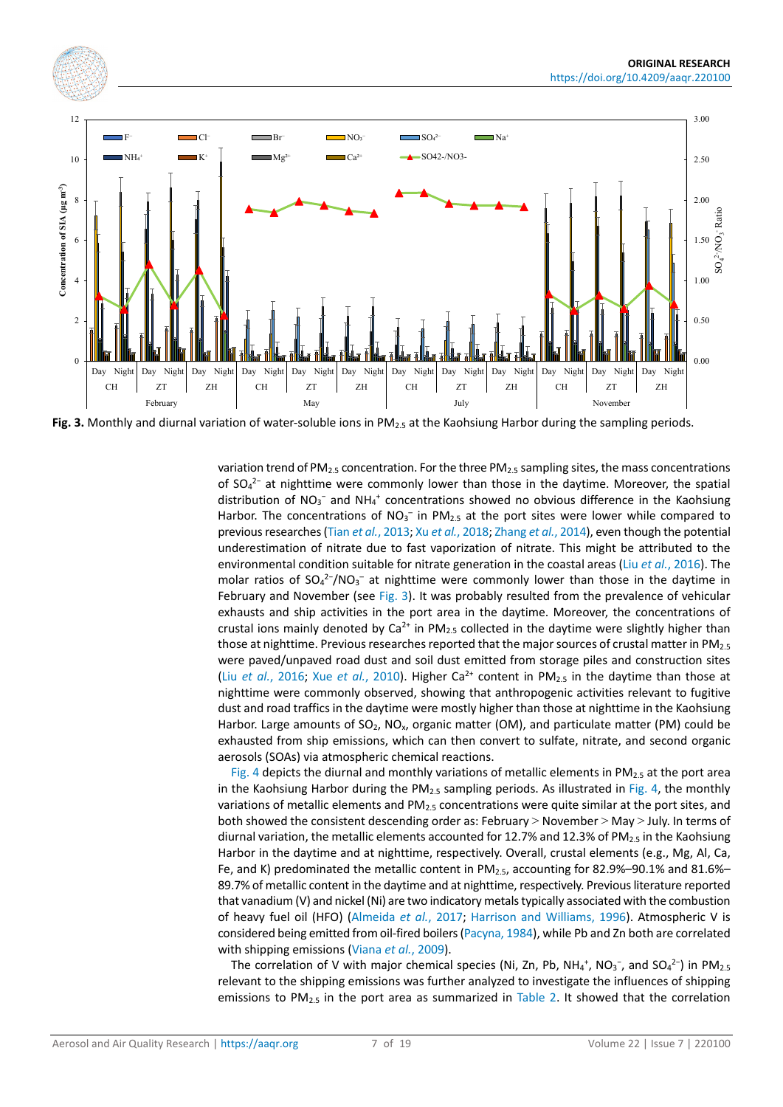<span id="page-6-0"></span>

Fig. 3. Monthly and diurnal variation of water-soluble ions in PM<sub>2.5</sub> at the Kaohsiung Harbor during the sampling periods.

variation trend of PM<sub>2.5</sub> concentration. For the three PM<sub>2.5</sub> sampling sites, the mass concentrations of  $SO_4^2$ <sup>-</sup> at nighttime were commonly lower than those in the daytime. Moreover, the spatial distribution of  $NO_3^-$  and  $NH_4^+$  concentrations showed no obvious difference in the Kaohsiung Harbor. The concentrations of  $NO<sub>3</sub><sup>-</sup>$  in PM<sub>2.5</sub> at the port sites were lower while compared to previous researches (Tian *et al.*[, 2013;](#page-17-6) Xu *et al.*[, 2018;](#page-17-7) [Zhang](#page-18-0) *et al.*, 2014), even though the potential underestimation of nitrate due to fast vaporization of nitrate. This might be attributed to the environmental condition suitable for nitrate generation in the coastal areas (Liu *et al.*[, 2016\)](#page-16-0). The molar ratios of  $SO_4^2$ -/NO<sub>3</sub><sup>-</sup> at nighttime were commonly lower than those in the daytime in February and November (see [Fig.](#page-6-0) 3). It was probably resulted from the prevalence of vehicular exhausts and ship activities in the port area in the daytime. Moreover, the concentrations of crustal ions mainly denoted by  $Ca^{2+}$  in PM<sub>2.5</sub> collected in the daytime were slightly higher than those at nighttime. Previous researches reported that the major sources of crustal matter in  $PM_{2.5}$ were paved/unpaved road dust and soil dust emitted from storage piles and construction sites (Liu *et al.*[, 2016;](#page-16-0) Xue *et al.*[, 2010\)](#page-17-8). Higher Ca<sup>2+</sup> content in PM<sub>2.5</sub> in the daytime than those at nighttime were commonly observed, showing that anthropogenic activities relevant to fugitive dust and road traffics in the daytime were mostly higher than those at nighttime in the Kaohsiung Harbor. Large amounts of SO<sub>2</sub>, NO<sub>x</sub>, organic matter (OM), and particulate matter (PM) could be exhausted from ship emissions, which can then convert to sulfate, nitrate, and second organic aerosols (SOAs) via atmospheric chemical reactions.

[Fig.](#page-7-0) 4 depicts the diurnal and monthly variations of metallic elements in  $PM_{2.5}$  at the port area in the Kaohsiung Harbor during the  $PM_{2.5}$  sampling periods. As illustrated in [Fig.](#page-7-0) 4, the monthly variations of metallic elements and PM2.5 concentrations were quite similar at the port sites, and both showed the consistent descending order as: February > November > May > July. In terms of diurnal variation, the metallic elements accounted for 12.7% and 12.3% of PM<sub>2.5</sub> in the Kaohsiung Harbor in the daytime and at nighttime, respectively. Overall, crustal elements (e.g., Mg, Al, Ca, Fe, and K) predominated the metallic content in PM<sub>2.5</sub>, accounting for 82.9%–90.1% and 81.6%– 89.7% of metallic content in the daytime and at nighttime, respectively. Previous literature reported that vanadium (V) and nickel (Ni) are two indicatory metals typically associated with the combustion of heavy fuel oil (HFO) [\(Almeida](#page-15-13) *et al.*, 2017; Harrison and [Williams, 1996\)](#page-15-14). Atmospheric V is considered being emitted from oil-fired boilers [\(Pacyna, 1984\)](#page-16-9), while Pb and Zn both are correlated with shipping emissions [\(Viana](#page-17-9) *et al.*, 2009).

The correlation of V with major chemical species (Ni, Zn, Pb, NH<sub>4</sub><sup>+</sup>, NO<sub>3</sub><sup>-</sup>, and SO<sub>4</sub><sup>2-</sup>) in PM<sub>2.5</sub> relevant to the shipping emissions was further analyzed to investigate the influences of shipping emissions to PM<sub>2.5</sub> in the port area as summarized in [Table 2.](#page-7-1) It showed that the correlation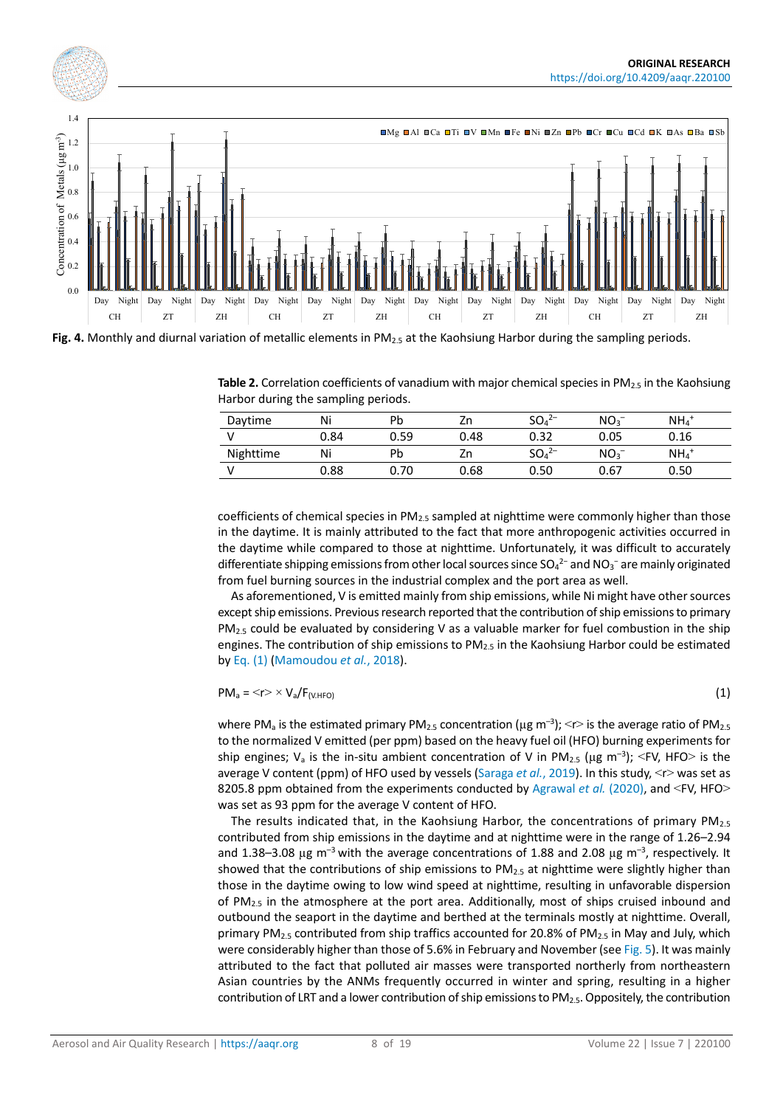<span id="page-7-0"></span>

<span id="page-7-1"></span>Fig. 4. Monthly and diurnal variation of metallic elements in PM<sub>2.5</sub> at the Kaohsiung Harbor during the sampling periods.

**Table 2.** Correlation coefficients of vanadium with major chemical species in PM<sub>2.5</sub> in the Kaohsiung Harbor during the sampling periods.

| Daytime   | Ni   | Pb   | Zn   | $SO_4^{2-}$                   | NO <sub>3</sub> | $NH_4$ <sup>+</sup> |
|-----------|------|------|------|-------------------------------|-----------------|---------------------|
|           | 0.84 | 0.59 | 0.48 | 0.32                          | 0.05            | 0.16                |
| Nighttime | Ni   | Pb   | Zn   | SO <sub>4</sub> <sup>2–</sup> | NO <sub>3</sub> | $NH4$ <sup>+</sup>  |
|           | 0.88 | 0.70 | 0.68 | 0.50                          | 0.67            | 0.50                |

coefficients of chemical species in  $PM_{2.5}$  sampled at nighttime were commonly higher than those in the daytime. It is mainly attributed to the fact that more anthropogenic activities occurred in the daytime while compared to those at nighttime. Unfortunately, it was difficult to accurately differentiate shipping emissions from other local sources since  $SO_4^{2-}$  and NO<sub>3</sub><sup>-</sup> are mainly originated from fuel burning sources in the industrial complex and the port area as well.

As aforementioned, V is emitted mainly from ship emissions, while Ni might have other sources except ship emissions. Previous research reported that the contribution of ship emissions to primary  $PM<sub>2.5</sub>$  could be evaluated by considering V as a valuable marker for fuel combustion in the ship engines. The contribution of ship emissions to  $PM<sub>2.5</sub>$  in the Kaohsiung Harbor could be estimated b[y Eq. \(1\)](#page-7-2) [\(Mamoudou](#page-16-10) *et al.*, 2018).

<span id="page-7-2"></span>
$$
PM_a = \langle r \rangle \times V_a / F_{(V. HFO)} \tag{1}
$$

where PM<sub>a</sub> is the estimated primary PM<sub>2.5</sub> concentration ( $\mu$ g m<sup>-3</sup>); <r> is the average ratio of PM<sub>2.5</sub> to the normalized V emitted (per ppm) based on the heavy fuel oil (HFO) burning experiments for ship engines;  $V_a$  is the in-situ ambient concentration of V in PM<sub>2.5</sub> ( $\mu$ g m<sup>-3</sup>); <FV, HFO> is the average V content (ppm) of HFO used by vessels [\(Saraga](#page-16-11) *et al.*, 2019). In this study, <r> was set as 8205.8 ppm obtained from the experiments conducted by [Agrawal](#page-14-1) *et al.* (2020), and <FV, HFO> was set as 93 ppm for the average V content of HFO.

The results indicated that, in the Kaohsiung Harbor, the concentrations of primary  $PM_{2.5}$ contributed from ship emissions in the daytime and at nighttime were in the range of 1.26–2.94 and 1.38–3.08  $\mu$ g m<sup>-3</sup> with the average concentrations of 1.88 and 2.08  $\mu$ g m<sup>-3</sup>, respectively. It showed that the contributions of ship emissions to  $PM_{2.5}$  at nighttime were slightly higher than those in the daytime owing to low wind speed at nighttime, resulting in unfavorable dispersion of PM<sub>2.5</sub> in the atmosphere at the port area. Additionally, most of ships cruised inbound and outbound the seaport in the daytime and berthed at the terminals mostly at nighttime. Overall, primary PM<sub>2.5</sub> contributed from ship traffics accounted for 20.8% of PM<sub>2.5</sub> in May and July, which were considerably higher than those of 5.6% in February and November (se[e Fig.](#page-8-0) 5). It was mainly attributed to the fact that polluted air masses were transported northerly from northeastern Asian countries by the ANMs frequently occurred in winter and spring, resulting in a higher contribution of LRT and a lower contribution of ship emissions to PM2.5. Oppositely, the contribution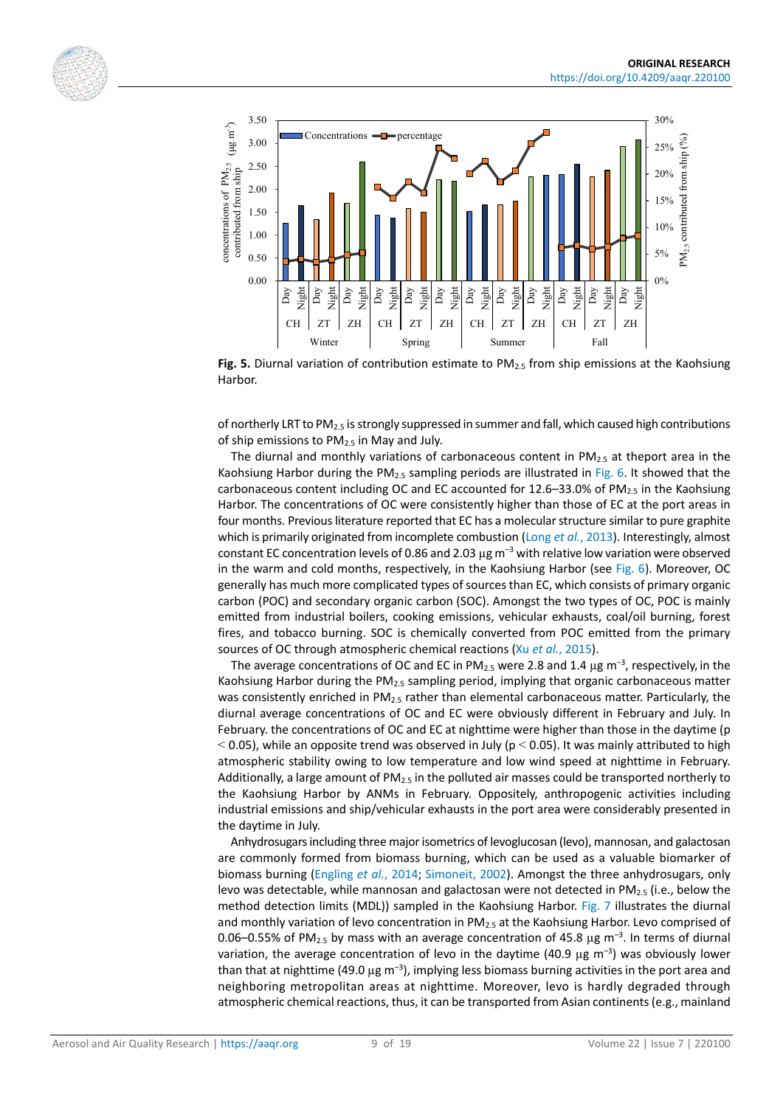<span id="page-8-0"></span>



**Fig. 5.** Diurnal variation of contribution estimate to PM<sub>2.5</sub> from ship emissions at the Kaohsiung Harbor.

of northerly LRT to PM<sub>2.5</sub> is strongly suppressed in summer and fall, which caused high contributions of ship emissions to  $PM<sub>2.5</sub>$  in May and July.

The diurnal and monthly variations of carbonaceous content in  $PM_{2.5}$  at theport area in the Kaohsiung Harbor during the PM<sub>2.5</sub> sampling periods are illustrated in [Fig.](#page-9-0) 6. It showed that the carbonaceous content including OC and EC accounted for 12.6–33.0% of PM $_{2.5}$  in the Kaohsiung Harbor. The concentrations of OC were consistently higher than those of EC at the port areas in four months. Previous literature reported that EC has a molecular structure similar to pure graphite which is primarily originated from incomplete combustion (Long *et al.*[, 2013\)](#page-16-12). Interestingly, almost constant EC concentration levels of 0.86 and 2.03  $\mu$ g m<sup>-3</sup> with relative low variation were observed in the warm and cold months, respectively, in the Kaohsiung Harbor (see [Fig.](#page-9-0) 6). Moreover, OC generally has much more complicated types of sources than EC, which consists of primary organic carbon (POC) and secondary organic carbon (SOC). Amongst the two types of OC, POC is mainly emitted from industrial boilers, cooking emissions, vehicular exhausts, coal/oil burning, forest fires, and tobacco burning. SOC is chemically converted from POC emitted from the primary sources of OC through atmospheric chemical reactions (Xu *et al.*[, 2015\)](#page-17-10).

The average concentrations of OC and EC in PM<sub>2.5</sub> were 2.8 and 1.4  $\mu$ g m<sup>-3</sup>, respectively, in the Kaohsiung Harbor during the PM<sub>2.5</sub> sampling period, implying that organic carbonaceous matter was consistently enriched in PM<sub>2.5</sub> rather than elemental carbonaceous matter. Particularly, the diurnal average concentrations of OC and EC were obviously different in February and July. In February. the concentrations of OC and EC at nighttime were higher than those in the daytime (p  $<$  0.05), while an opposite trend was observed in July (p  $<$  0.05). It was mainly attributed to high atmospheric stability owing to low temperature and low wind speed at nighttime in February. Additionally, a large amount of  $PM_{2.5}$  in the polluted air masses could be transported northerly to the Kaohsiung Harbor by ANMs in February. Oppositely, anthropogenic activities including industrial emissions and ship/vehicular exhausts in the port area were considerably presented in the daytime in July.

Anhydrosugars including three major isometrics of levoglucosan (levo), mannosan, and galactosan are commonly formed from biomass burning, which can be used as a valuable biomarker of biomass burning [\(Engling](#page-15-15) *et al.*, 2014; [Simoneit, 2002\)](#page-17-11). Amongst the three anhydrosugars, only levo was detectable, while mannosan and galactosan were not detected in  $PM_{2.5}$  (i.e., below the method detection limits (MDL)) sampled in the Kaohsiung Harbor. [Fig.](#page-9-1) 7 illustrates the diurnal and monthly variation of levo concentration in  $PM<sub>2.5</sub>$  at the Kaohsiung Harbor. Levo comprised of 0.06-0.55% of PM<sub>2.5</sub> by mass with an average concentration of 45.8  $\mu$ g m<sup>-3</sup>. In terms of diurnal variation, the average concentration of levo in the daytime (40.9  $\mu$ g m<sup>-3</sup>) was obviously lower than that at nighttime (49.0  $\mu$ g m<sup>-3</sup>), implying less biomass burning activities in the port area and neighboring metropolitan areas at nighttime. Moreover, levo is hardly degraded through atmospheric chemical reactions, thus, it can be transported from Asian continents (e.g., mainland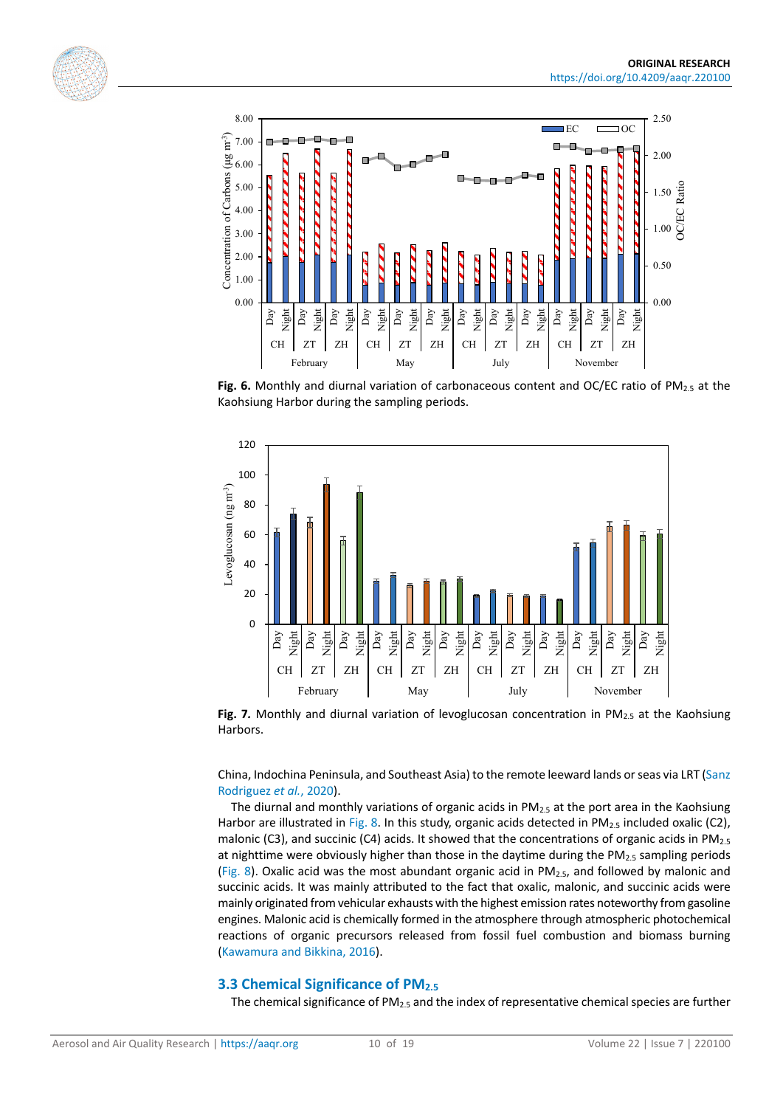<span id="page-9-0"></span>



Fig. 6. Monthly and diurnal variation of carbonaceous content and OC/EC ratio of PM<sub>2.5</sub> at the Kaohsiung Harbor during the sampling periods.

<span id="page-9-1"></span>

**Fig. 7.** Monthly and diurnal variation of levoglucosan concentration in PM<sub>2.5</sub> at the Kaohsiung Harbors.

China, Indochina Peninsula, and Southeast Asia) to the remote leeward lands or seas via LRT [\(Sanz](#page-16-13)  [Rodriguez](#page-16-13) *et al.*, 2020).

The diurnal and monthly variations of organic acids in  $PM_{2.5}$  at the port area in the Kaohsiung Harbor are illustrated i[n Fig.](#page-10-0) 8. In this study, organic acids detected in  $PM_{2.5}$  included oxalic (C2), malonic (C3), and succinic (C4) acids. It showed that the concentrations of organic acids in  $PM_{2.5}$ at nighttime were obviously higher than those in the daytime during the PM<sub>2.5</sub> sampling periods [\(Fig.](#page-10-0) 8). Oxalic acid was the most abundant organic acid in  $PM_{2.5}$ , and followed by malonic and succinic acids. It was mainly attributed to the fact that oxalic, malonic, and succinic acids were mainly originated from vehicular exhausts with the highest emission rates noteworthy from gasoline engines. Malonic acid is chemically formed in the atmosphere through atmospheric photochemical reactions of organic precursors released from fossil fuel combustion and biomass burning [\(Kawamura and](#page-16-14) Bikkina, 2016).

### **3.3 Chemical Significance of PM2.5**

The chemical significance of PM2.5 and the index of representative chemical species are further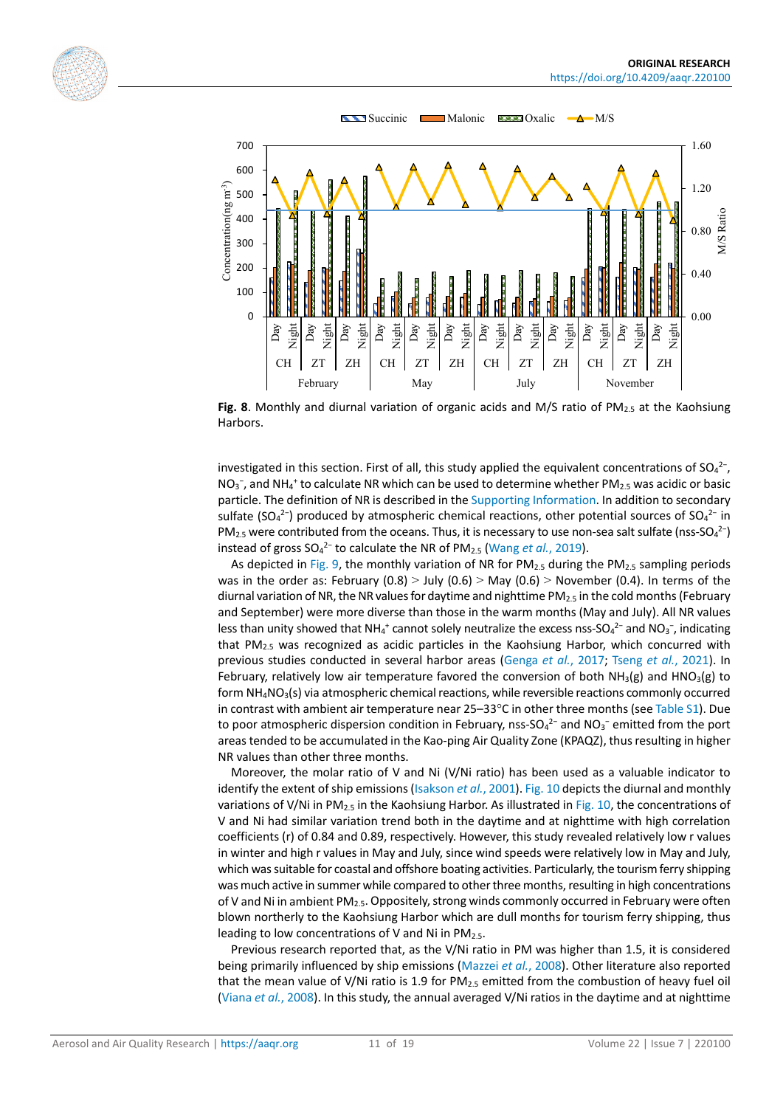<span id="page-10-0"></span>



**Fig. 8**. Monthly and diurnal variation of organic acids and M/S ratio of PM2.5 at the Kaohsiung Harbors.

investigated in this section. First of all, this study applied the equivalent concentrations of  $SO_4^2$ -,  $NO<sub>3</sub><sup>-</sup>$ , and NH<sub>4</sub><sup>+</sup> to calculate NR which can be used to determine whether PM<sub>2.5</sub> was acidic or basic particle. The definition of NR is described in th[e Supporting Information.](#page-14-0) In addition to secondary sulfate (SO<sub>4</sub><sup>2-</sup>) produced by atmospheric chemical reactions, other potential sources of SO<sub>4</sub><sup>2-</sup> in PM<sub>2.5</sub> were contributed from the oceans. Thus, it is necessary to use non-sea salt sulfate (nss-SO<sub>4</sub><sup>2-</sup>) instead of gross SO<sub>4</sub><sup>2−</sup> to calculate the NR of PM<sub>2.5</sub> [\(Wang](#page-17-12) *et al.*, 2019).

As depicted in [Fig.](#page-11-0) 9, the monthly variation of NR for  $PM_{2.5}$  during the  $PM_{2.5}$  sampling periods was in the order as: February  $(0.8)$  > July  $(0.6)$  > May  $(0.6)$  > November  $(0.4)$ . In terms of the diurnal variation of NR, the NR values for daytime and nighttime PM2.5 in the cold months (February and September) were more diverse than those in the warm months (May and July). All NR values less than unity showed that NH<sub>4</sub><sup>+</sup> cannot solely neutralize the excess nss-SO<sub>4</sub><sup>2-</sup> and NO<sub>3</sub><sup>-</sup>, indicating that  $PM<sub>2.5</sub>$  was recognized as acidic particles in the Kaohsiung Harbor, which concurred with previous studies conducted in several harbor areas [\(Genga](#page-15-16) *et al.*, 2017; [Tseng](#page-17-13) *et al.*, 2021). In February, relatively low air temperature favored the conversion of both  $NH<sub>3</sub>(g)$  and HNO<sub>3</sub>(g) to form  $NH<sub>4</sub>NO<sub>3</sub>(s)$  via atmospheric chemical reactions, while reversible reactions commonly occurred in contrast with ambient air temperature near 25–33°C in other three months (se[e Table S1\)](https://doi.org/10.4209/aaqr.220100). Due to poor atmospheric dispersion condition in February, nss-SO<sub>4</sub><sup>2-</sup> and NO<sub>3</sub><sup>-</sup> emitted from the port areas tended to be accumulated in the Kao-ping Air Quality Zone (KPAQZ), thus resulting in higher NR values than other three months.

Moreover, the molar ratio of V and Ni (V/Ni ratio) has been used as a valuable indicator to identify the extent of ship emissions [\(Isakson](#page-15-1) *et al.*, 2001). [Fig.](#page-11-1) 10 depicts the diurnal and monthly variations of V/Ni in PM<sub>2.5</sub> in the Kaohsiung Harbor. As illustrated in [Fig.](#page-11-1) 10, the concentrations of V and Ni had similar variation trend both in the daytime and at nighttime with high correlation coefficients (r) of 0.84 and 0.89, respectively. However, this study revealed relatively low r values in winter and high r values in May and July, since wind speeds were relatively low in May and July, which was suitable for coastal and offshore boating activities. Particularly, the tourism ferry shipping was much active in summer while compared to other three months, resulting in high concentrations of V and Ni in ambient PM<sub>2.5</sub>. Oppositely, strong winds commonly occurred in February were often blown northerly to the Kaohsiung Harbor which are dull months for tourism ferry shipping, thus leading to low concentrations of V and Ni in PM<sub>2.5</sub>.

Previous research reported that, as the V/Ni ratio in PM was higher than 1.5, it is considered being primarily influenced by ship emissions [\(Mazzei](#page-16-15) *et al.*, 2008). Other literature also reported that the mean value of V/Ni ratio is 1.9 for  $PM_{2.5}$  emitted from the combustion of heavy fuel oil [\(Viana](#page-17-14) *et al.*, 2008). In this study, the annual averaged V/Ni ratios in the daytime and at nighttime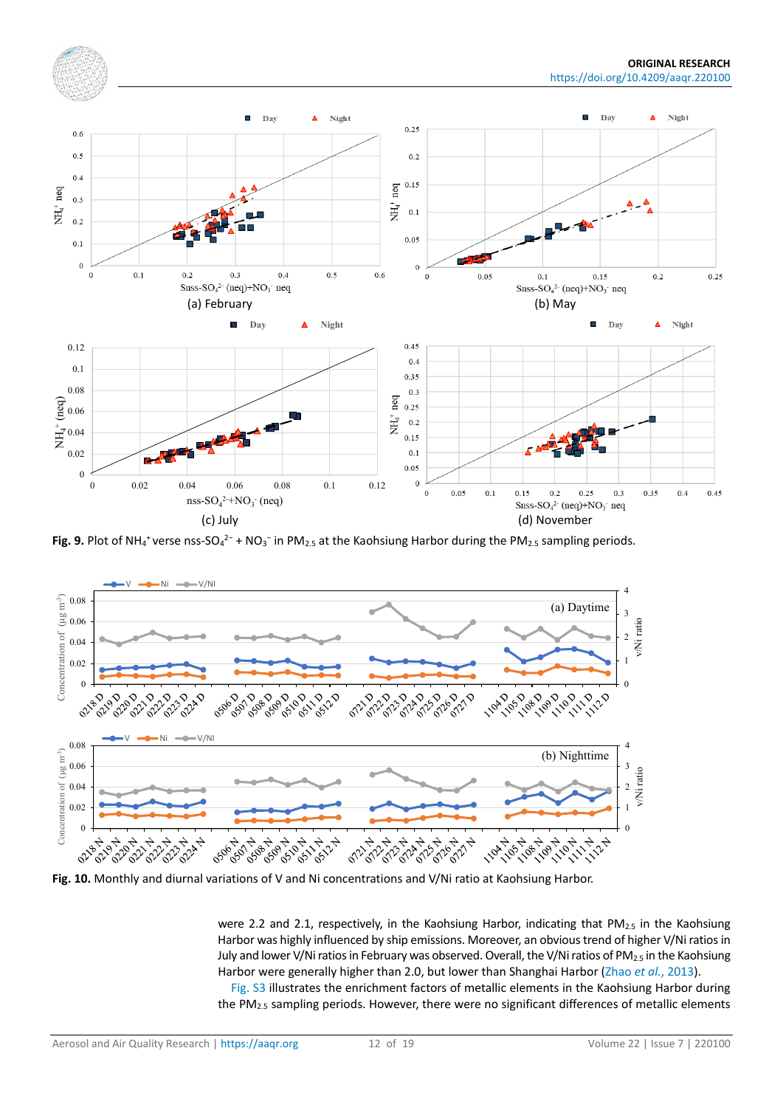<span id="page-11-0"></span>

**Fig. 9.** Plot of NH<sub>4</sub><sup>+</sup> verse nss-SO<sub>4</sub><sup>2-</sup> + NO<sub>3</sub><sup>-</sup> in PM<sub>2.5</sub> at the Kaohsiung Harbor during the PM<sub>2.5</sub> sampling periods.

<span id="page-11-1"></span>

were 2.2 and 2.1, respectively, in the Kaohsiung Harbor, indicating that  $PM_{2.5}$  in the Kaohsiung Harbor was highly influenced by ship emissions. Moreover, an obvious trend of higher V/Ni ratios in July and lower V/Ni ratios in February was observed. Overall, the V/Ni ratios of PM<sub>2.5</sub> in the Kaohsiung Harbor were generally higher than 2.0, but lower than Shanghai Harbor (Zhao *et al.*[, 2013\)](#page-18-1).

[Fig.](https://doi.org/10.4209/aaqr.220100) S3 illustrates the enrichment factors of metallic elements in the Kaohsiung Harbor during the PM<sub>2.5</sub> sampling periods. However, there were no significant differences of metallic elements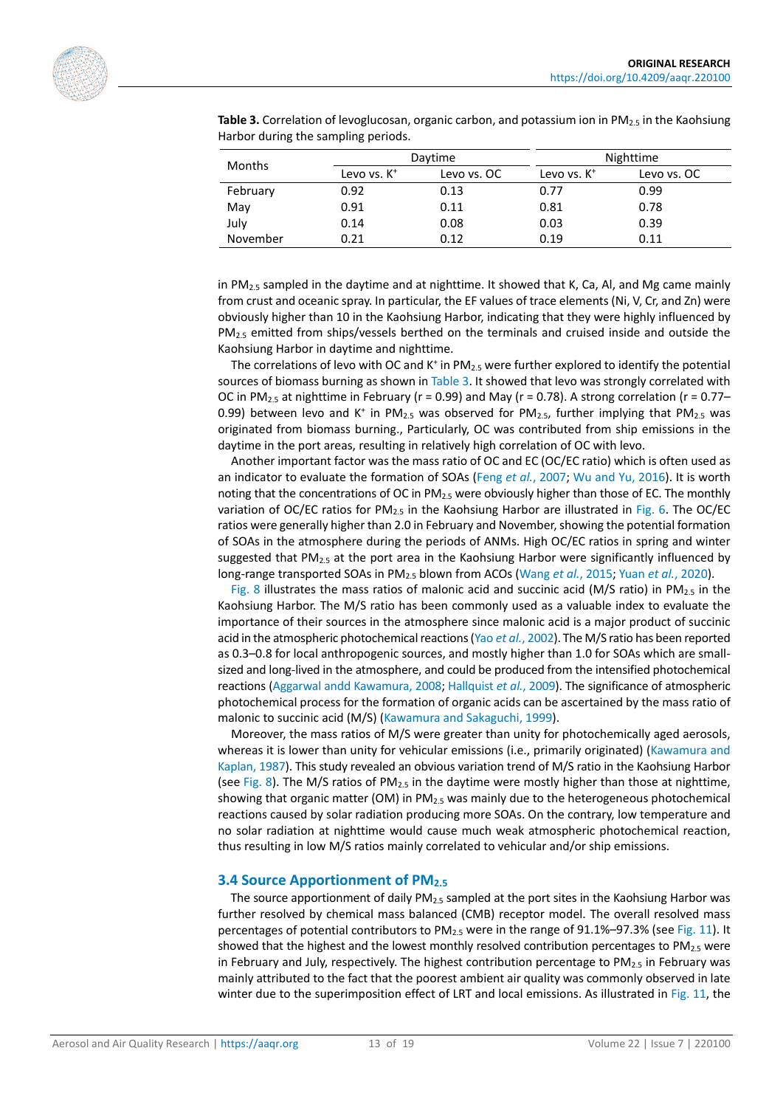|          |                | Daytime     | Nighttime      |             |  |
|----------|----------------|-------------|----------------|-------------|--|
| Months   | Levo vs. $K^+$ | Levo vs. OC | Levo vs. $K^+$ | Levo vs. OC |  |
| February | 0.92           | 0.13        | 0.77           | 0.99        |  |
| May      | 0.91           | 0.11        | 0.81           | 0.78        |  |
| July     | 0.14           | 0.08        | 0.03           | 0.39        |  |
| November | 0.21           | 0.12        | 0.19           | 0.11        |  |

<span id="page-12-0"></span>**Table 3.** Correlation of levoglucosan, organic carbon, and potassium ion in PM<sub>2.5</sub> in the Kaohsiung Harbor during the sampling periods.

in  $PM_{2.5}$  sampled in the daytime and at nighttime. It showed that K, Ca, AI, and Mg came mainly from crust and oceanic spray. In particular, the EF values of trace elements (Ni, V, Cr, and Zn) were obviously higher than 10 in the Kaohsiung Harbor, indicating that they were highly influenced by PM<sub>2.5</sub> emitted from ships/vessels berthed on the terminals and cruised inside and outside the Kaohsiung Harbor in daytime and nighttime.

The correlations of levo with OC and  $K^+$  in PM<sub>2.5</sub> were further explored to identify the potential sources of biomass burning as shown in [Table 3.](#page-12-0) It showed that levo was strongly correlated with OC in PM<sub>2.5</sub> at nighttime in February ( $r = 0.99$ ) and May ( $r = 0.78$ ). A strong correlation ( $r = 0.77$ – 0.99) between levo and K<sup>+</sup> in PM<sub>2.5</sub> was observed for PM<sub>2.5</sub>, further implying that PM<sub>2.5</sub> was originated from biomass burning., Particularly, OC was contributed from ship emissions in the daytime in the port areas, resulting in relatively high correlation of OC with levo.

Another important factor was the mass ratio of OC and EC (OC/EC ratio) which is often used as an indicator to evaluate the formation of SOAs (Feng *et al.*[, 2007;](#page-15-17) Wu and [Yu, 2016\)](#page-17-15). It is worth noting that the concentrations of OC in PM<sub>2.5</sub> were obviously higher than those of EC. The monthly variation of OC/EC ratios for PM<sub>2.5</sub> in the Kaohsiung Harbor are illustrated in [Fig.](#page-9-0) 6. The OC/EC ratios were generally higher than 2.0 in February and November, showing the potential formation of SOAs in the atmosphere during the periods of ANMs. High OC/EC ratios in spring and winter suggested that  $PM_{2.5}$  at the port area in the Kaohsiung Harbor were significantly influenced by long-range transported SOAs in PM2.5 blown from ACOs [\(Wang](#page-17-16) *et al.*, 2015; Yuan *et al.*[, 2020\)](#page-18-2).

[Fig.](#page-10-0) 8 illustrates the mass ratios of malonic acid and succinic acid (M/S ratio) in PM<sub>2.5</sub> in the Kaohsiung Harbor. The M/S ratio has been commonly used as a valuable index to evaluate the importance of their sources in the atmosphere since malonic acid is a major product of succinic acid in the atmospheric photochemical reactions (Yao *et al.*[, 2002\)](#page-17-17). The M/S ratio has been reported as 0.3–0.8 for local anthropogenic sources, and mostly higher than 1.0 for SOAs which are smallsized and long-lived in the atmosphere, and could be produced from the intensified photochemical reactions (Aggarwal andd [Kawamura, 2008;](#page-14-2) [Hallquist](#page-15-18) *et al.*, 2009). The significance of atmospheric photochemical process for the formation of organic acids can be ascertained by the mass ratio of malonic to succinic acid (M/S) (Kawamura and [Sakaguchi, 1999\)](#page-16-16).

Moreover, the mass ratios of M/S were greater than unity for photochemically aged aerosols, whereas it is lower than unity for vehicular emissions (i.e., primarily originated) [\(Kawamura and](#page-16-17) [Kaplan, 1987\)](#page-16-17). This study revealed an obvious variation trend of M/S ratio in the Kaohsiung Harbor (see [Fig.](#page-10-0) 8). The M/S ratios of PM<sub>2.5</sub> in the daytime were mostly higher than those at nighttime, showing that organic matter (OM) in  $PM_{2.5}$  was mainly due to the heterogeneous photochemical reactions caused by solar radiation producing more SOAs. On the contrary, low temperature and no solar radiation at nighttime would cause much weak atmospheric photochemical reaction, thus resulting in low M/S ratios mainly correlated to vehicular and/or ship emissions.

### **3.4 Source Apportionment of PM2.5**

The source apportionment of daily  $PM<sub>2.5</sub>$  sampled at the port sites in the Kaohsiung Harbor was further resolved by chemical mass balanced (CMB) receptor model. The overall resolved mass percentages of potential contributors to PM2.5 were in the range of 91.1%–97.3% (see [Fig.](#page-13-0) 11). It showed that the highest and the lowest monthly resolved contribution percentages to  $PM_{2.5}$  were in February and July, respectively. The highest contribution percentage to  $PM_{2.5}$  in February was mainly attributed to the fact that the poorest ambient air quality was commonly observed in late winter due to the superimposition effect of LRT and local emissions. As illustrated in [Fig.](#page-13-0) 11, the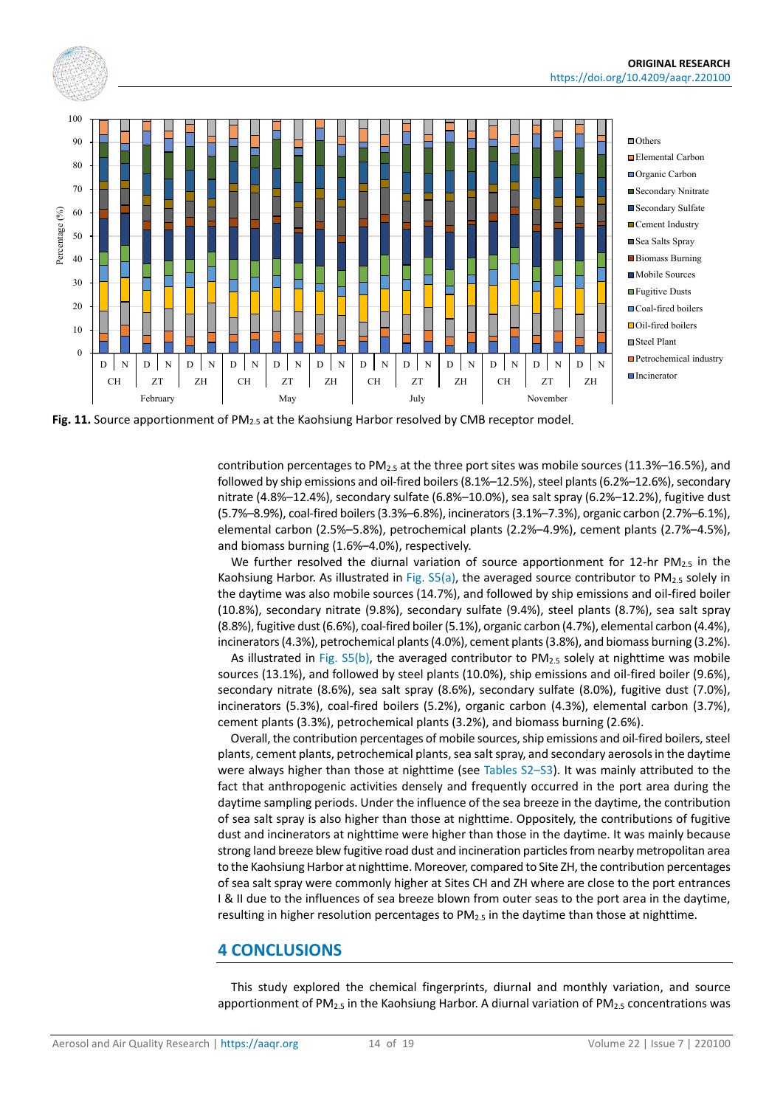<span id="page-13-0"></span>

Fig. 11. Source apportionment of PM<sub>2.5</sub> at the Kaohsiung Harbor resolved by CMB receptor model.

contribution percentages to PM<sub>2.5</sub> at the three port sites was mobile sources (11.3%–16.5%), and followed by ship emissions and oil-fired boilers (8.1%–12.5%), steel plants (6.2%–12.6%), secondary nitrate (4.8%–12.4%), secondary sulfate (6.8%–10.0%), sea salt spray (6.2%–12.2%), fugitive dust (5.7%–8.9%), coal-fired boilers (3.3%–6.8%), incinerators (3.1%–7.3%), organic carbon (2.7%–6.1%), elemental carbon (2.5%–5.8%), petrochemical plants (2.2%–4.9%), cement plants (2.7%–4.5%), and biomass burning (1.6%–4.0%), respectively.

We further resolved the diurnal variation of source apportionment for 12-hr PM<sub>2.5</sub> in the Kaohsiung Harbor. As illustrated in Fig.  $55(a)$ , the averaged source contributor to PM<sub>2.5</sub> solely in the daytime was also mobile sources (14.7%), and followed by ship emissions and oil-fired boiler (10.8%), secondary nitrate (9.8%), secondary sulfate (9.4%), steel plants (8.7%), sea salt spray (8.8%), fugitive dust (6.6%), coal-fired boiler (5.1%), organic carbon (4.7%), elemental carbon (4.4%), incinerators (4.3%), petrochemical plants (4.0%), cement plants (3.8%), and biomass burning (3.2%).

As illustrated in Fig.  $S5(b)$ , the averaged contributor to PM<sub>2.5</sub> solely at nighttime was mobile sources (13.1%), and followed by steel plants (10.0%), ship emissions and oil-fired boiler (9.6%), secondary nitrate (8.6%), sea salt spray (8.6%), secondary sulfate (8.0%), fugitive dust (7.0%), incinerators (5.3%), coal-fired boilers (5.2%), organic carbon (4.3%), elemental carbon (3.7%), cement plants (3.3%), petrochemical plants (3.2%), and biomass burning (2.6%).

Overall, the contribution percentages of mobile sources, ship emissions and oil-fired boilers, steel plants, cement plants, petrochemical plants, sea salt spray, and secondary aerosols in the daytime were always higher than those at nighttime (see [Tables S2–S3\)](https://doi.org/10.4209/aaqr.220100). It was mainly attributed to the fact that anthropogenic activities densely and frequently occurred in the port area during the daytime sampling periods. Under the influence of the sea breeze in the daytime, the contribution of sea salt spray is also higher than those at nighttime. Oppositely, the contributions of fugitive dust and incinerators at nighttime were higher than those in the daytime. It was mainly because strong land breeze blew fugitive road dust and incineration particles from nearby metropolitan area to the Kaohsiung Harbor at nighttime. Moreover, compared to Site ZH, the contribution percentages of sea salt spray were commonly higher at Sites CH and ZH where are close to the port entrances I & II due to the influences of sea breeze blown from outer seas to the port area in the daytime, resulting in higher resolution percentages to  $PM_{2.5}$  in the daytime than those at nighttime.

### **4 CONCLUSIONS**

This study explored the chemical fingerprints, diurnal and monthly variation, and source apportionment of PM<sub>2.5</sub> in the Kaohsiung Harbor. A diurnal variation of PM<sub>2.5</sub> concentrations was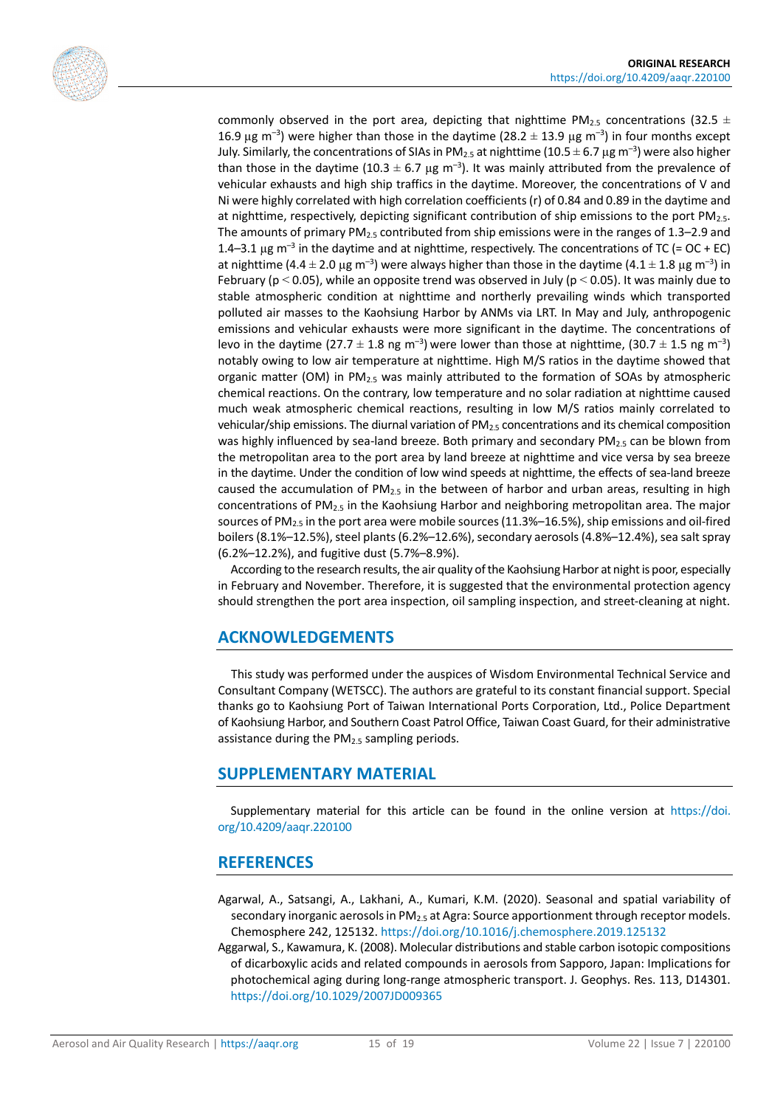

commonly observed in the port area, depicting that nighttime PM<sub>2.5</sub> concentrations (32.5  $\pm$ 16.9  $\mu$ g m<sup>-3</sup>) were higher than those in the daytime (28.2  $\pm$  13.9  $\mu$ g m<sup>-3</sup>) in four months except July. Similarly, the concentrations of SIAs in PM<sub>2.5</sub> at nighttime (10.5  $\pm$  6.7 µg m<sup>-3</sup>) were also higher than those in the daytime (10.3  $\pm$  6.7 µg m<sup>-3</sup>). It was mainly attributed from the prevalence of vehicular exhausts and high ship traffics in the daytime. Moreover, the concentrations of V and Ni were highly correlated with high correlation coefficients (r) of 0.84 and 0.89 in the daytime and at nighttime, respectively, depicting significant contribution of ship emissions to the port PM2.5. The amounts of primary  $PM_2$ , contributed from ship emissions were in the ranges of 1.3–2.9 and 1.4–3.1  $\mu$ g m<sup>-3</sup> in the daytime and at nighttime, respectively. The concentrations of TC (= OC + EC) at nighttime (4.4  $\pm$  2.0  $\mu$ g m<sup>-3</sup>) were always higher than those in the daytime (4.1  $\pm$  1.8  $\mu$ g m<sup>-3</sup>) in February ( $p < 0.05$ ), while an opposite trend was observed in July ( $p < 0.05$ ). It was mainly due to stable atmospheric condition at nighttime and northerly prevailing winds which transported polluted air masses to the Kaohsiung Harbor by ANMs via LRT. In May and July, anthropogenic emissions and vehicular exhausts were more significant in the daytime. The concentrations of levo in the daytime (27.7  $\pm$  1.8 ng m<sup>-3</sup>) were lower than those at nighttime, (30.7  $\pm$  1.5 ng m<sup>-3</sup>) notably owing to low air temperature at nighttime. High M/S ratios in the daytime showed that organic matter (OM) in  $PM_{2.5}$  was mainly attributed to the formation of SOAs by atmospheric chemical reactions. On the contrary, low temperature and no solar radiation at nighttime caused much weak atmospheric chemical reactions, resulting in low M/S ratios mainly correlated to vehicular/ship emissions. The diurnal variation of  $PM_{2.5}$  concentrations and its chemical composition was highly influenced by sea-land breeze. Both primary and secondary PM $_{2.5}$  can be blown from the metropolitan area to the port area by land breeze at nighttime and vice versa by sea breeze in the daytime. Under the condition of low wind speeds at nighttime, the effects of sea-land breeze caused the accumulation of  $PM<sub>2.5</sub>$  in the between of harbor and urban areas, resulting in high concentrations of PM2.5 in the Kaohsiung Harbor and neighboring metropolitan area. The major sources of PM<sub>2.5</sub> in the port area were mobile sources (11.3%-16.5%), ship emissions and oil-fired boilers (8.1%–12.5%), steel plants (6.2%–12.6%), secondary aerosols (4.8%–12.4%), sea salt spray (6.2%–12.2%), and fugitive dust (5.7%–8.9%).

According to the research results, the air quality of the Kaohsiung Harbor at night is poor, especially in February and November. Therefore, it is suggested that the environmental protection agency should strengthen the port area inspection, oil sampling inspection, and street-cleaning at night.

# **ACKNOWLEDGEMENTS**

This study was performed under the auspices of Wisdom Environmental Technical Service and Consultant Company (WETSCC). The authors are grateful to its constant financial support. Special thanks go to Kaohsiung Port of Taiwan International Ports Corporation, Ltd., Police Department of Kaohsiung Harbor, and Southern Coast Patrol Office, Taiwan Coast Guard, for their administrative assistance during the PM<sub>2.5</sub> sampling periods.

# <span id="page-14-0"></span>**SUPPLEMENTARY MATERIAL**

Supplementary material for this article can be found in the online version at [https://doi.](https://doi.org/10.4209/aaqr.220100) [org/10.4209/aaqr.220100](https://doi.org/10.4209/aaqr.220100)

# **REFERENCES**

- <span id="page-14-1"></span>Agarwal, A., Satsangi, A., Lakhani, A., Kumari, K.M. (2020). Seasonal and spatial variability of secondary inorganic aerosols in PM<sub>2.5</sub> at Agra: Source apportionment through receptor models. Chemosphere 242, 125132[. https://doi.org/10.1016/j.chemosphere.2019.125132](https://doi.org/10.1016/j.chemosphere.2019.125132)
- <span id="page-14-2"></span>Aggarwal, S., Kawamura, K. (2008). Molecular distributions and stable carbon isotopic compositions of dicarboxylic acids and related compounds in aerosols from Sapporo, Japan: Implications for photochemical aging during long-range atmospheric transport. J. Geophys. Res. 113, D14301. <https://doi.org/10.1029/2007JD009365>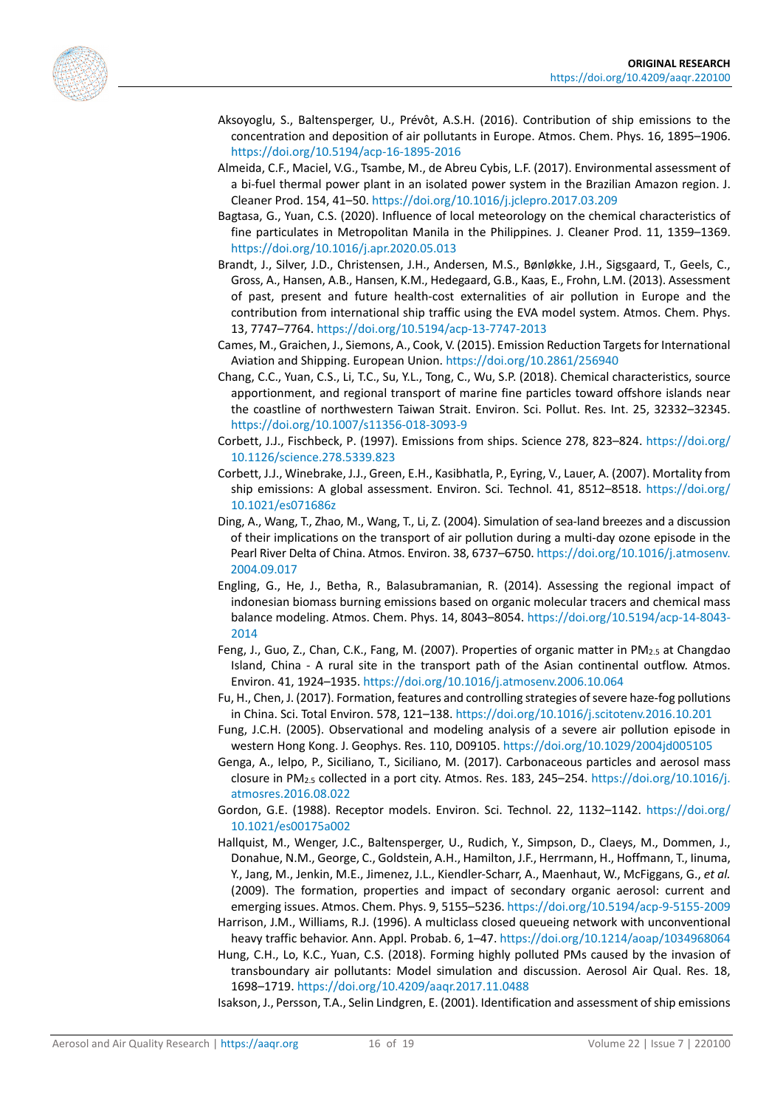<span id="page-15-13"></span><span id="page-15-9"></span><span id="page-15-0"></span>

- Aksoyoglu, S., Baltensperger, U., Prévôt, A.S.H. (2016). Contribution of ship emissions to the concentration and deposition of air pollutants in Europe. Atmos. Chem. Phys. 16, 1895–1906. <https://doi.org/10.5194/acp-16-1895-2016>
- Almeida, C.F., Maciel, V.G., Tsambe, M., de Abreu Cybis, L.F. (2017). Environmental assessment of a bi-fuel thermal power plant in an isolated power system in the Brazilian Amazon region. J. Cleaner Prod. 154, 41–50.<https://doi.org/10.1016/j.jclepro.2017.03.209>
- Bagtasa, G., Yuan, C.S. (2020). Influence of local meteorology on the chemical characteristics of fine particulates in Metropolitan Manila in the Philippines. J. Cleaner Prod. 11, 1359–1369. <https://doi.org/10.1016/j.apr.2020.05.013>
- <span id="page-15-3"></span>Brandt, J., Silver, J.D., Christensen, J.H., Andersen, M.S., Bønløkke, J.H., Sigsgaard, T., Geels, C., Gross, A., Hansen, A.B., Hansen, K.M., Hedegaard, G.B., Kaas, E., Frohn, L.M. (2013). Assessment of past, present and future health-cost externalities of air pollution in Europe and the contribution from international ship traffic using the EVA model system. Atmos. Chem. Phys. 13, 7747–7764.<https://doi.org/10.5194/acp-13-7747-2013>
- <span id="page-15-6"></span>Cames, M., Graichen, J., Siemons, A., Cook, V. (2015). Emission Reduction Targets for International Aviation and Shipping. European Union.<https://doi.org/10.2861/256940>
- <span id="page-15-10"></span>Chang, C.C., Yuan, C.S., Li, T.C., Su, Y.L., Tong, C., Wu, S.P. (2018). Chemical characteristics, source apportionment, and regional transport of marine fine particles toward offshore islands near the coastline of northwestern Taiwan Strait. Environ. Sci. Pollut. Res. Int. 25, 32332–32345. <https://doi.org/10.1007/s11356-018-3093-9>
- <span id="page-15-2"></span>Corbett, J.J., Fischbeck, P. (1997). Emissions from ships. Science 278, 823–824. [https://doi.org/](https://doi.org/10.1126/science.278.5339.823) [10.1126/science.278.5339.823](https://doi.org/10.1126/science.278.5339.823)
- <span id="page-15-7"></span>Corbett, J.J., Winebrake, J.J., Green, E.H., Kasibhatla, P., Eyring, V., Lauer, A. (2007). Mortality from ship emissions: A global assessment. Environ. Sci. Technol. 41, 8512–8518. [https://doi.org/](https://doi.org/10.1021/es071686z) [10.1021/es071686z](https://doi.org/10.1021/es071686z)
- <span id="page-15-4"></span>Ding, A., Wang, T., Zhao, M., Wang, T., Li, Z. (2004). Simulation of sea-land breezes and a discussion of their implications on the transport of air pollution during a multi-day ozone episode in the Pearl River Delta of China. Atmos. Environ. 38, 6737–6750[. https://doi.org/10.1016/j.atmosenv.](https://doi.org/10.1016/j.atmosenv.2004.09.017) [2004.09.017](https://doi.org/10.1016/j.atmosenv.2004.09.017)
- <span id="page-15-15"></span>Engling, G., He, J., Betha, R., Balasubramanian, R. (2014). Assessing the regional impact of indonesian biomass burning emissions based on organic molecular tracers and chemical mass balance modeling. Atmos. Chem. Phys. 14, 8043–8054. [https://doi.org/10.5194/acp-14-8043-](https://doi.org/10.5194/acp-14-8043-2014) [2014](https://doi.org/10.5194/acp-14-8043-2014)
- <span id="page-15-17"></span>Feng, J., Guo, Z., Chan, C.K., Fang, M. (2007). Properties of organic matter in PM<sub>2.5</sub> at Changdao Island, China - A rural site in the transport path of the Asian continental outflow. Atmos. Environ. 41, 1924–1935[. https://doi.org/10.1016/j.atmosenv.2006.10.064](https://doi.org/10.1016/j.atmosenv.2006.10.064)
- <span id="page-15-8"></span>Fu, H., Chen, J. (2017). Formation, features and controlling strategies of severe haze-fog pollutions in China. Sci. Total Environ. 578, 121–138[. https://doi.org/10.1016/j.scitotenv.2016.10.201](https://doi.org/10.1016/j.scitotenv.2016.10.201)
- <span id="page-15-5"></span>Fung, J.C.H. (2005). Observational and modeling analysis of a severe air pollution episode in western Hong Kong. J. Geophys. Res. 110, D09105[. https://doi.org/10.1029/2004jd005105](https://doi.org/10.1029/2004jd005105)
- <span id="page-15-16"></span>Genga, A., Ielpo, P., Siciliano, T., Siciliano, M. (2017). Carbonaceous particles and aerosol mass closure in PM<sub>2.5</sub> collected in a port city. Atmos. Res. 183, 245–254. [https://doi.org/10.1016/j.](https://doi.org/10.1016/j.atmosres.2016.08.022) [atmosres.2016.08.022](https://doi.org/10.1016/j.atmosres.2016.08.022)
- <span id="page-15-12"></span>Gordon, G.E. (1988). Receptor models. Environ. Sci. Technol. 22, 1132–1142. [https://doi.org/](https://doi.org/10.1021/es00175a002) [10.1021/es00175a002](https://doi.org/10.1021/es00175a002)
- <span id="page-15-18"></span>Hallquist, M., Wenger, J.C., Baltensperger, U., Rudich, Y., Simpson, D., Claeys, M., Dommen, J., Donahue, N.M., George, C., Goldstein, A.H., Hamilton, J.F., Herrmann, H., Hoffmann, T., Iinuma, Y., Jang, M., Jenkin, M.E., Jimenez, J.L., Kiendler-Scharr, A., Maenhaut, W., McFiggans, G., *et al.* (2009). The formation, properties and impact of secondary organic aerosol: current and emerging issues. Atmos. Chem. Phys. 9, 5155–5236.<https://doi.org/10.5194/acp-9-5155-2009>
- <span id="page-15-14"></span>Harrison, J.M., Williams, R.J. (1996). A multiclass closed queueing network with unconventional heavy traffic behavior. Ann. Appl. Probab. 6, 1–47[. https://doi.org/10.1214/aoap/1034968064](https://doi.org/10.1214/aoap/1034968064)
- <span id="page-15-11"></span>Hung, C.H., Lo, K.C., Yuan, C.S. (2018). Forming highly polluted PMs caused by the invasion of transboundary air pollutants: Model simulation and discussion. Aerosol Air Qual. Res. 18, 1698–1719.<https://doi.org/10.4209/aaqr.2017.11.0488>

<span id="page-15-1"></span>Isakson, J., Persson, T.A., Selin Lindgren, E. (2001). Identification and assessment of ship emissions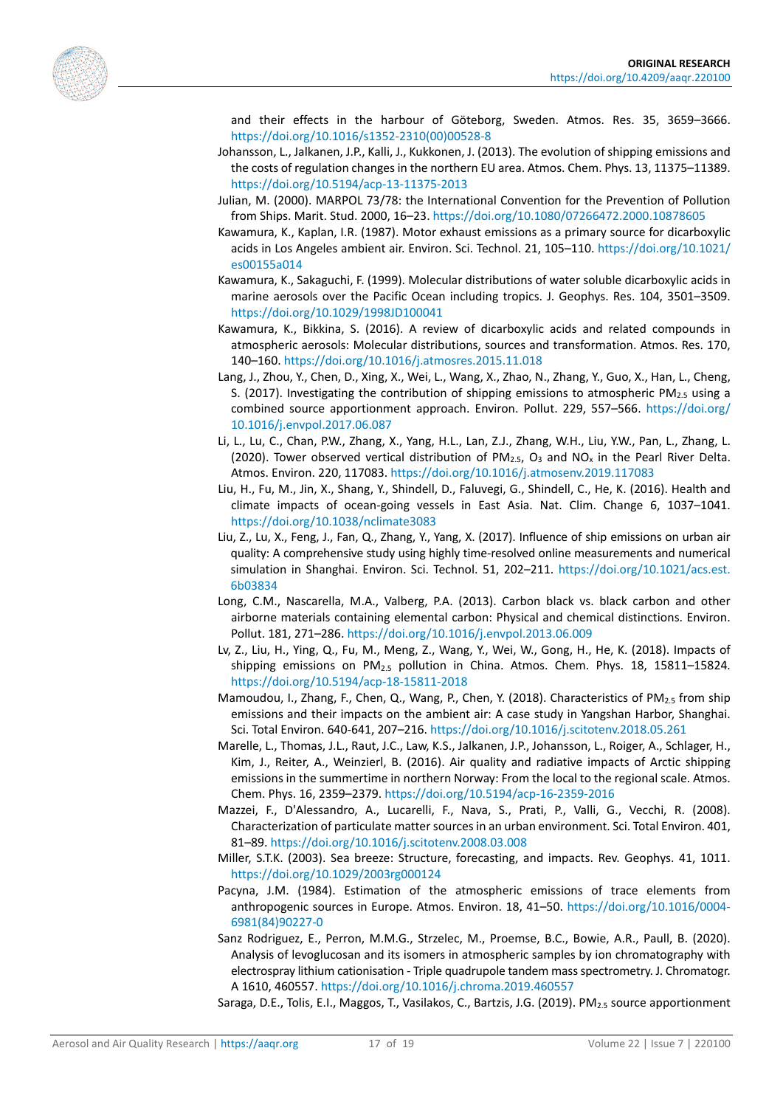<span id="page-16-8"></span><span id="page-16-7"></span>

and their effects in the harbour of Göteborg, Sweden. Atmos. Res. 35, 3659–3666. [https://doi.org/10.1016/s1352-2310\(00\)00528-8](https://doi.org/10.1016/s1352-2310(00)00528-8)

- Johansson, L., Jalkanen, J.P., Kalli, J., Kukkonen, J. (2013). The evolution of shipping emissions and the costs of regulation changes in the northern EU area. Atmos. Chem. Phys. 13, 11375–11389. <https://doi.org/10.5194/acp-13-11375-2013>
- Julian, M. (2000). MARPOL 73/78: the International Convention for the Prevention of Pollution from Ships. Marit. Stud. 2000, 16–23. <https://doi.org/10.1080/07266472.2000.10878605>
- <span id="page-16-17"></span>Kawamura, K., Kaplan, I.R. (1987). Motor exhaust emissions as a primary source for dicarboxylic acids in Los Angeles ambient air. Environ. Sci. Technol. 21, 105–110[. https://doi.org/10.1021/](https://doi.org/10.1021/es00155a014) [es00155a014](https://doi.org/10.1021/es00155a014)
- <span id="page-16-16"></span>Kawamura, K., Sakaguchi, F. (1999). Molecular distributions of water soluble dicarboxylic acids in marine aerosols over the Pacific Ocean including tropics. J. Geophys. Res. 104, 3501–3509. <https://doi.org/10.1029/1998JD100041>
- <span id="page-16-14"></span>Kawamura, K., Bikkina, S. (2016). A review of dicarboxylic acids and related compounds in atmospheric aerosols: Molecular distributions, sources and transformation. Atmos. Res. 170, 140–160.<https://doi.org/10.1016/j.atmosres.2015.11.018>
- <span id="page-16-5"></span>Lang, J., Zhou, Y., Chen, D., Xing, X., Wei, L., Wang, X., Zhao, N., Zhang, Y., Guo, X., Han, L., Cheng, S. (2017). Investigating the contribution of shipping emissions to atmospheric  $PM_{2.5}$  using a combined source apportionment approach. Environ. Pollut. 229, 557–566. [https://doi.org/](https://doi.org/10.1016/j.envpol.2017.06.087) [10.1016/j.envpol.2017.06.087](https://doi.org/10.1016/j.envpol.2017.06.087)
- <span id="page-16-2"></span>Li, L., Lu, C., Chan, P.W., Zhang, X., Yang, H.L., Lan, Z.J., Zhang, W.H., Liu, Y.W., Pan, L., Zhang, L. (2020). Tower observed vertical distribution of  $PM_{2.5}$ , O<sub>3</sub> and NO<sub>x</sub> in the Pearl River Delta. Atmos. Environ. 220, 117083.<https://doi.org/10.1016/j.atmosenv.2019.117083>
- <span id="page-16-0"></span>Liu, H., Fu, M., Jin, X., Shang, Y., Shindell, D., Faluvegi, G., Shindell, C., He, K. (2016). Health and climate impacts of ocean-going vessels in East Asia. Nat. Clim. Change 6, 1037–1041. <https://doi.org/10.1038/nclimate3083>
- <span id="page-16-3"></span>Liu, Z., Lu, X., Feng, J., Fan, Q., Zhang, Y., Yang, X. (2017). Influence of ship emissions on urban air quality: A comprehensive study using highly time-resolved online measurements and numerical simulation in Shanghai. Environ. Sci. Technol. 51, 202–211. [https://doi.org/10.1021/acs.est.](https://doi.org/10.1021/acs.est.6b03834) [6b03834](https://doi.org/10.1021/acs.est.6b03834)
- <span id="page-16-12"></span>Long, C.M., Nascarella, M.A., Valberg, P.A. (2013). Carbon black vs. black carbon and other airborne materials containing elemental carbon: Physical and chemical distinctions. Environ. Pollut. 181, 271–286.<https://doi.org/10.1016/j.envpol.2013.06.009>
- <span id="page-16-6"></span>Lv, Z., Liu, H., Ying, Q., Fu, M., Meng, Z., Wang, Y., Wei, W., Gong, H., He, K. (2018). Impacts of shipping emissions on PM2.5 pollution in China. Atmos. Chem. Phys. 18, 15811–15824. <https://doi.org/10.5194/acp-18-15811-2018>
- <span id="page-16-10"></span>Mamoudou, I., Zhang, F., Chen, Q., Wang, P., Chen, Y. (2018). Characteristics of PM<sub>2.5</sub> from ship emissions and their impacts on the ambient air: A case study in Yangshan Harbor, Shanghai. Sci. Total Environ. 640-641, 207–216[. https://doi.org/10.1016/j.scitotenv.2018.05.261](https://doi.org/10.1016/j.scitotenv.2018.05.261)
- <span id="page-16-4"></span>Marelle, L., Thomas, J.L., Raut, J.C., Law, K.S., Jalkanen, J.P., Johansson, L., Roiger, A., Schlager, H., Kim, J., Reiter, A., Weinzierl, B. (2016). Air quality and radiative impacts of Arctic shipping emissions in the summertime in northern Norway: From the local to the regional scale. Atmos. Chem. Phys. 16, 2359–2379. <https://doi.org/10.5194/acp-16-2359-2016>
- <span id="page-16-15"></span>Mazzei, F., D'Alessandro, A., Lucarelli, F., Nava, S., Prati, P., Valli, G., Vecchi, R. (2008). Characterization of particulate matter sources in an urban environment. Sci. Total Environ. 401, 81–89[. https://doi.org/10.1016/j.scitotenv.2008.03.008](https://doi.org/10.1016/j.scitotenv.2008.03.008)
- <span id="page-16-1"></span>Miller, S.T.K. (2003). Sea breeze: Structure, forecasting, and impacts. Rev. Geophys. 41, 1011. <https://doi.org/10.1029/2003rg000124>
- <span id="page-16-9"></span>Pacyna, J.M. (1984). Estimation of the atmospheric emissions of trace elements from anthropogenic sources in Europe. Atmos. Environ. 18, 41–50. [https://doi.org/10.1016/0004-](https://doi.org/10.1016/0004-6981(84)90227-0) [6981\(84\)90227-0](https://doi.org/10.1016/0004-6981(84)90227-0)
- <span id="page-16-13"></span>Sanz Rodriguez, E., Perron, M.M.G., Strzelec, M., Proemse, B.C., Bowie, A.R., Paull, B. (2020). Analysis of levoglucosan and its isomers in atmospheric samples by ion chromatography with electrospray lithium cationisation - Triple quadrupole tandem mass spectrometry. J. Chromatogr. A 1610, 460557.<https://doi.org/10.1016/j.chroma.2019.460557>

<span id="page-16-11"></span>Saraga, D.E., Tolis, E.I., Maggos, T., Vasilakos, C., Bartzis, J.G. (2019). PM<sub>2.5</sub> source apportionment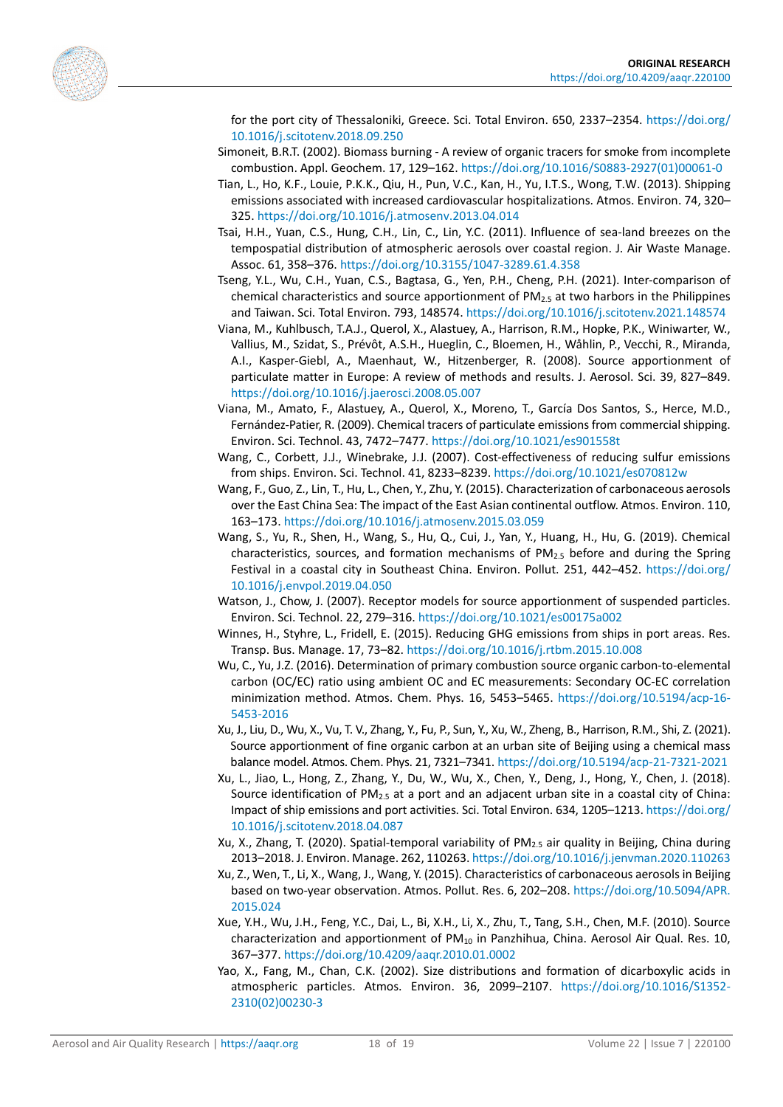<span id="page-17-11"></span><span id="page-17-6"></span>

for the port city of Thessaloniki, Greece. Sci. Total Environ. 650, 2337–2354. [https://doi.org/](https://doi.org/10.1016/j.scitotenv.2018.09.250) [10.1016/j.scitotenv.2018.09.250](https://doi.org/10.1016/j.scitotenv.2018.09.250)

- Simoneit, B.R.T. (2002). Biomass burning A review of organic tracers for smoke from incomplete combustion. Appl. Geochem. 17, 129–162[. https://doi.org/10.1016/S0883-2927\(01\)00061-0](https://doi.org/10.1016/S0883-2927(01)00061-0)
- Tian, L., Ho, K.F., Louie, P.K.K., Qiu, H., Pun, V.C., Kan, H., Yu, I.T.S., Wong, T.W. (2013). Shipping emissions associated with increased cardiovascular hospitalizations. Atmos. Environ. 74, 320– 325[. https://doi.org/10.1016/j.atmosenv.2013.04.014](https://doi.org/10.1016/j.atmosenv.2013.04.014)
- <span id="page-17-2"></span>Tsai, H.H., Yuan, C.S., Hung, C.H., Lin, C., Lin, Y.C. (2011). Influence of sea-land breezes on the tempospatial distribution of atmospheric aerosols over coastal region. J. Air Waste Manage. Assoc. 61, 358–376[. https://doi.org/10.3155/1047-3289.61.4.358](https://doi.org/10.3155/1047-3289.61.4.358)
- <span id="page-17-13"></span>Tseng, Y.L., Wu, C.H., Yuan, C.S., Bagtasa, G., Yen, P.H., Cheng, P.H. (2021). Inter-comparison of chemical characteristics and source apportionment of  $PM_{2.5}$  at two harbors in the Philippines and Taiwan. Sci. Total Environ. 793, 148574[. https://doi.org/10.1016/j.scitotenv.2021.148574](https://doi.org/10.1016/j.scitotenv.2021.148574)
- <span id="page-17-14"></span>Viana, M., Kuhlbusch, T.A.J., Querol, X., Alastuey, A., Harrison, R.M., Hopke, P.K., Winiwarter, W., Vallius, M., Szidat, S., Prévôt, A.S.H., Hueglin, C., Bloemen, H., Wåhlin, P., Vecchi, R., Miranda, A.I., Kasper-Giebl, A., Maenhaut, W., Hitzenberger, R. (2008). Source apportionment of particulate matter in Europe: A review of methods and results. J. Aerosol. Sci. 39, 827–849. <https://doi.org/10.1016/j.jaerosci.2008.05.007>
- <span id="page-17-9"></span>Viana, M., Amato, F., Alastuey, A., Querol, X., Moreno, T., García Dos Santos, S., Herce, M.D., Fernández-Patier, R. (2009). Chemical tracers of particulate emissions from commercial shipping. Environ. Sci. Technol. 43, 7472–7477[. https://doi.org/10.1021/es901558t](https://doi.org/10.1021/es901558t)
- <span id="page-17-0"></span>Wang, C., Corbett, J.J., Winebrake, J.J. (2007). Cost-effectiveness of reducing sulfur emissions from ships. Environ. Sci. Technol. 41, 8233–8239[. https://doi.org/10.1021/es070812w](https://doi.org/10.1021/es070812w)
- <span id="page-17-16"></span>Wang, F., Guo, Z., Lin, T., Hu, L., Chen, Y., Zhu, Y. (2015). Characterization of carbonaceous aerosols over the East China Sea: The impact of the East Asian continental outflow. Atmos. Environ. 110, 163–173.<https://doi.org/10.1016/j.atmosenv.2015.03.059>
- <span id="page-17-12"></span>Wang, S., Yu, R., Shen, H., Wang, S., Hu, Q., Cui, J., Yan, Y., Huang, H., Hu, G. (2019). Chemical characteristics, sources, and formation mechanisms of  $PM_{2.5}$  before and during the Spring Festival in a coastal city in Southeast China. Environ. Pollut. 251, 442–452. [https://doi.org/](https://doi.org/10.1016/j.envpol.2019.04.050) [10.1016/j.envpol.2019.04.050](https://doi.org/10.1016/j.envpol.2019.04.050)
- <span id="page-17-4"></span>Watson, J., Chow, J. (2007). Receptor models for source apportionment of suspended particles. Environ. Sci. Technol. 22, 279–316.<https://doi.org/10.1021/es00175a002>
- <span id="page-17-1"></span>Winnes, H., Styhre, L., Fridell, E. (2015). Reducing GHG emissions from ships in port areas. Res. Transp. Bus. Manage. 17, 73–82[. https://doi.org/10.1016/j.rtbm.2015.10.008](https://doi.org/10.1016/j.rtbm.2015.10.008)
- <span id="page-17-15"></span>Wu, C., Yu, J.Z. (2016). Determination of primary combustion source organic carbon-to-elemental carbon (OC/EC) ratio using ambient OC and EC measurements: Secondary OC-EC correlation minimization method. Atmos. Chem. Phys. 16, 5453–5465. [https://doi.org/10.5194/acp-16-](https://doi.org/10.5194/acp-16-5453-2016) [5453-2016](https://doi.org/10.5194/acp-16-5453-2016)
- <span id="page-17-5"></span>Xu, J., Liu, D., Wu, X., Vu, T. V., Zhang, Y., Fu, P., Sun, Y., Xu, W., Zheng, B., Harrison, R.M., Shi, Z. (2021). Source apportionment of fine organic carbon at an urban site of Beijing using a chemical mass balance model. Atmos. Chem. Phys. 21, 7321–7341[. https://doi.org/10.5194/acp-21-7321-2021](https://doi.org/10.5194/acp-21-7321-2021)
- <span id="page-17-7"></span>Xu, L., Jiao, L., Hong, Z., Zhang, Y., Du, W., Wu, X., Chen, Y., Deng, J., Hong, Y., Chen, J. (2018). Source identification of PM2.5 at a port and an adjacent urban site in a coastal city of China: Impact of ship emissions and port activities. Sci. Total Environ. 634, 1205–1213[. https://doi.org/](https://doi.org/10.1016/j.scitotenv.2018.04.087) [10.1016/j.scitotenv.2018.04.087](https://doi.org/10.1016/j.scitotenv.2018.04.087)
- <span id="page-17-3"></span>Xu, X., Zhang, T. (2020). Spatial-temporal variability of PM2.5 air quality in Beijing, China during 2013–2018. J. Environ. Manage. 262, 110263[. https://doi.org/10.1016/j.jenvman.2020.110263](https://doi.org/10.1016/j.jenvman.2020.110263)
- <span id="page-17-10"></span>Xu, Z., Wen, T., Li, X., Wang, J., Wang, Y. (2015). Characteristics of carbonaceous aerosols in Beijing based on two-year observation. Atmos. Pollut. Res. 6, 202–208. [https://doi.org/10.5094/APR.](https://doi.org/10.5094/APR.2015.024) [2015.024](https://doi.org/10.5094/APR.2015.024)
- <span id="page-17-8"></span>Xue, Y.H., Wu, J.H., Feng, Y.C., Dai, L., Bi, X.H., Li, X., Zhu, T., Tang, S.H., Chen, M.F. (2010). Source characterization and apportionment of  $PM_{10}$  in Panzhihua, China. Aerosol Air Qual. Res. 10, 367–377.<https://doi.org/10.4209/aaqr.2010.01.0002>
- <span id="page-17-17"></span>Yao, X., Fang, M., Chan, C.K. (2002). Size distributions and formation of dicarboxylic acids in atmospheric particles. Atmos. Environ. 36, 2099–2107. [https://doi.org/10.1016/S1352-](https://doi.org/10.1016/S1352-2310(02)00230-3) [2310\(02\)00230-3](https://doi.org/10.1016/S1352-2310(02)00230-3)